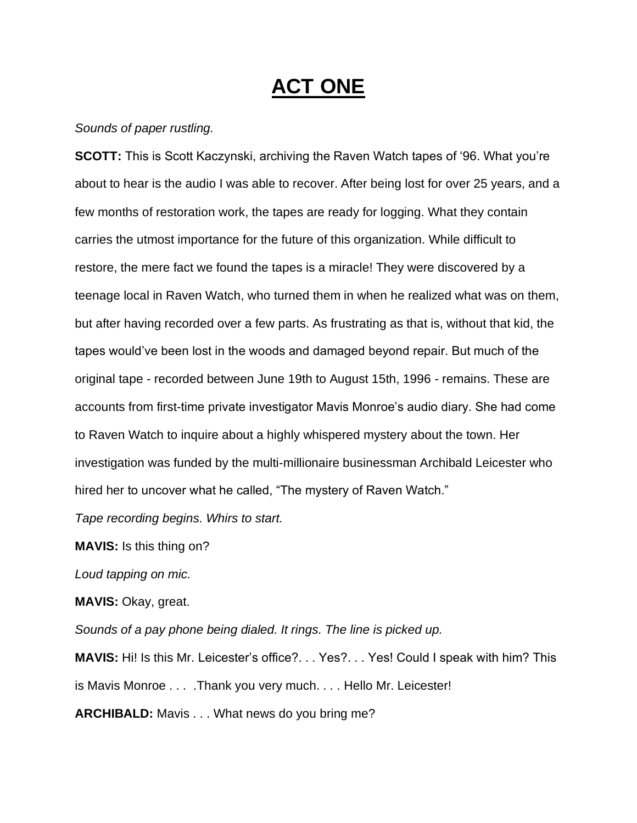## **ACT ONE**

## *Sounds of paper rustling.*

**SCOTT:** This is Scott Kaczynski, archiving the Raven Watch tapes of '96. What you're about to hear is the audio I was able to recover. After being lost for over 25 years, and a few months of restoration work, the tapes are ready for logging. What they contain carries the utmost importance for the future of this organization. While difficult to restore, the mere fact we found the tapes is a miracle! They were discovered by a teenage local in Raven Watch, who turned them in when he realized what was on them, but after having recorded over a few parts. As frustrating as that is, without that kid, the tapes would've been lost in the woods and damaged beyond repair. But much of the original tape - recorded between June 19th to August 15th, 1996 - remains. These are accounts from first-time private investigator Mavis Monroe's audio diary. She had come to Raven Watch to inquire about a highly whispered mystery about the town. Her investigation was funded by the multi-millionaire businessman Archibald Leicester who hired her to uncover what he called, "The mystery of Raven Watch."

*Tape recording begins. Whirs to start.*

**MAVIS:** Is this thing on?

*Loud tapping on mic.* 

**MAVIS:** Okay, great.

*Sounds of a pay phone being dialed. It rings. The line is picked up.*

**MAVIS:** Hi! Is this Mr. Leicester's office?. . . Yes?. . . Yes! Could I speak with him? This is Mavis Monroe . . . .Thank you very much. . . . Hello Mr. Leicester!

**ARCHIBALD:** Mavis . . . What news do you bring me?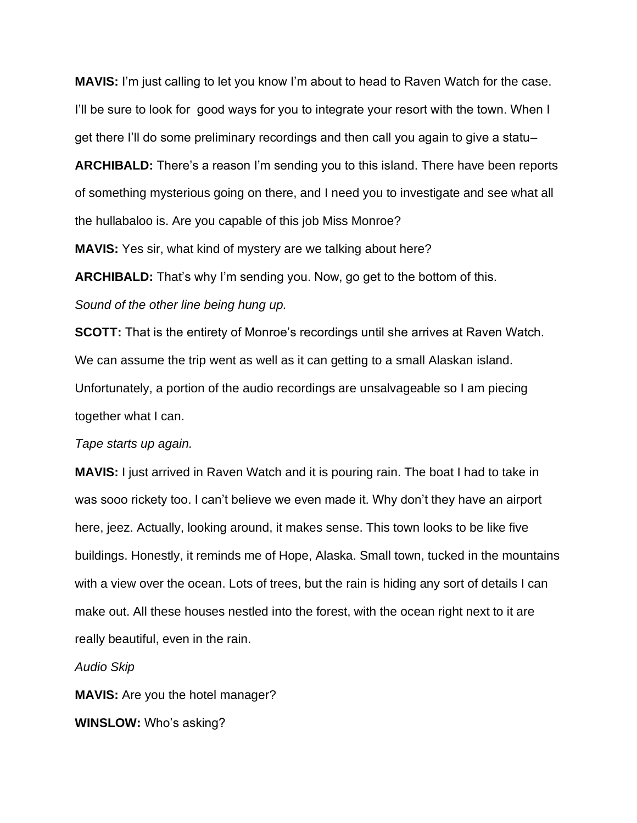**MAVIS:** I'm just calling to let you know I'm about to head to Raven Watch for the case. I'll be sure to look for good ways for you to integrate your resort with the town. When I get there I'll do some preliminary recordings and then call you again to give a statu–

**ARCHIBALD:** There's a reason I'm sending you to this island. There have been reports of something mysterious going on there, and I need you to investigate and see what all the hullabaloo is. Are you capable of this job Miss Monroe?

**MAVIS:** Yes sir, what kind of mystery are we talking about here?

**ARCHIBALD:** That's why I'm sending you. Now, go get to the bottom of this.

## *Sound of the other line being hung up.*

**SCOTT:** That is the entirety of Monroe's recordings until she arrives at Raven Watch. We can assume the trip went as well as it can getting to a small Alaskan island. Unfortunately, a portion of the audio recordings are unsalvageable so I am piecing together what I can.

### *Tape starts up again.*

**MAVIS:** I just arrived in Raven Watch and it is pouring rain. The boat I had to take in was sooo rickety too. I can't believe we even made it. Why don't they have an airport here, jeez. Actually, looking around, it makes sense. This town looks to be like five buildings. Honestly, it reminds me of Hope, Alaska. Small town, tucked in the mountains with a view over the ocean. Lots of trees, but the rain is hiding any sort of details I can make out. All these houses nestled into the forest, with the ocean right next to it are really beautiful, even in the rain.

*Audio Skip*

**MAVIS:** Are you the hotel manager?

**WINSLOW:** Who's asking?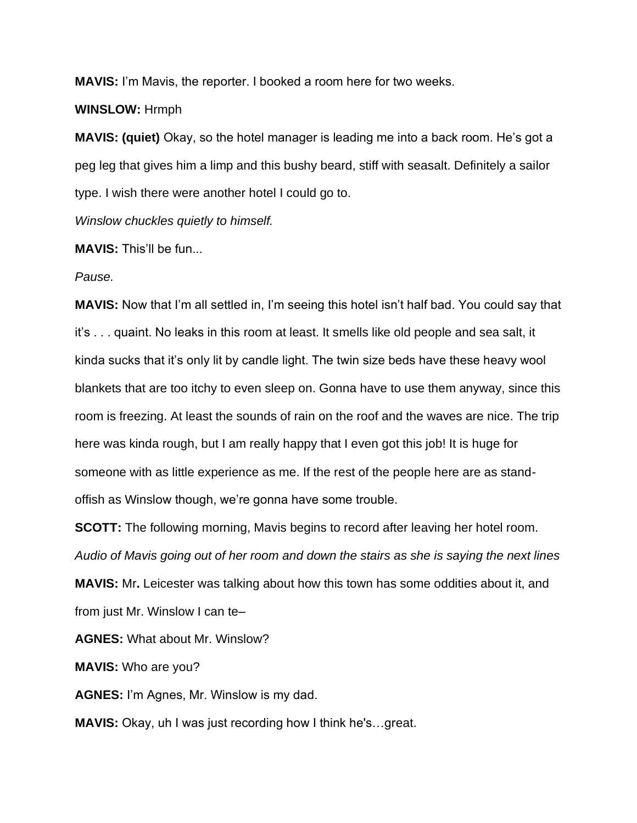**MAVIS:** I'm Mavis, the reporter. I booked a room here for two weeks.

## **WINSLOW:** Hrmph

**MAVIS: (quiet)** Okay, so the hotel manager is leading me into a back room. He's got a peg leg that gives him a limp and this bushy beard, stiff with seasalt. Definitely a sailor type. I wish there were another hotel I could go to.

*Winslow chuckles quietly to himself.* 

**MAVIS:** This'll be fun...

*Pause.*

**MAVIS:** Now that I'm all settled in, I'm seeing this hotel isn't half bad. You could say that it's . . . quaint. No leaks in this room at least. It smells like old people and sea salt, it kinda sucks that it's only lit by candle light. The twin size beds have these heavy wool blankets that are too itchy to even sleep on. Gonna have to use them anyway, since this room is freezing. At least the sounds of rain on the roof and the waves are nice. The trip here was kinda rough, but I am really happy that I even got this job! It is huge for someone with as little experience as me. If the rest of the people here are as standoffish as Winslow though, we're gonna have some trouble.

**SCOTT:** The following morning, Mavis begins to record after leaving her hotel room. *Audio of Mavis going out of her room and down the stairs as she is saying the next lines* **MAVIS:** Mr**.** Leicester was talking about how this town has some oddities about it, and

from just Mr. Winslow I can te–

**AGNES:** What about Mr. Winslow?

**MAVIS:** Who are you?

**AGNES:** I'm Agnes, Mr. Winslow is my dad.

**MAVIS:** Okay, uh I was just recording how I think he's…great.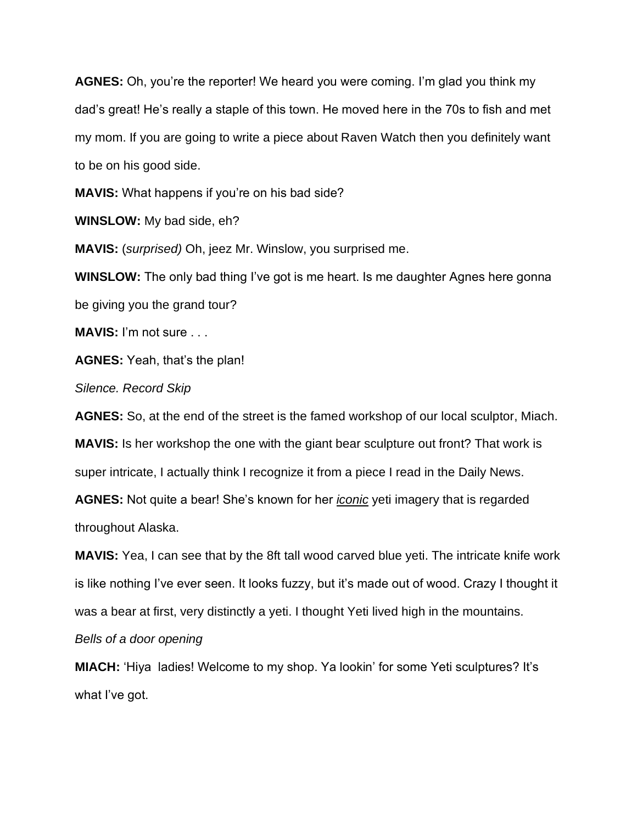**AGNES:** Oh, you're the reporter! We heard you were coming. I'm glad you think my dad's great! He's really a staple of this town. He moved here in the 70s to fish and met my mom. If you are going to write a piece about Raven Watch then you definitely want to be on his good side.

**MAVIS:** What happens if you're on his bad side?

**WINSLOW:** My bad side, eh?

**MAVIS:** (*surprised)* Oh, jeez Mr. Winslow, you surprised me.

**WINSLOW:** The only bad thing I've got is me heart. Is me daughter Agnes here gonna be giving you the grand tour?

**MAVIS:** I'm not sure . . .

**AGNES:** Yeah, that's the plan!

*Silence. Record Skip* 

**AGNES:** So, at the end of the street is the famed workshop of our local sculptor, Miach.

**MAVIS:** Is her workshop the one with the giant bear sculpture out front? That work is super intricate, I actually think I recognize it from a piece I read in the Daily News.

**AGNES:** Not quite a bear! She's known for her *iconic* yeti imagery that is regarded throughout Alaska.

**MAVIS:** Yea, I can see that by the 8ft tall wood carved blue yeti. The intricate knife work is like nothing I've ever seen. It looks fuzzy, but it's made out of wood. Crazy I thought it was a bear at first, very distinctly a yeti. I thought Yeti lived high in the mountains.

*Bells of a door opening* 

**MIACH:** 'Hiya ladies! Welcome to my shop. Ya lookin' for some Yeti sculptures? It's what I've got.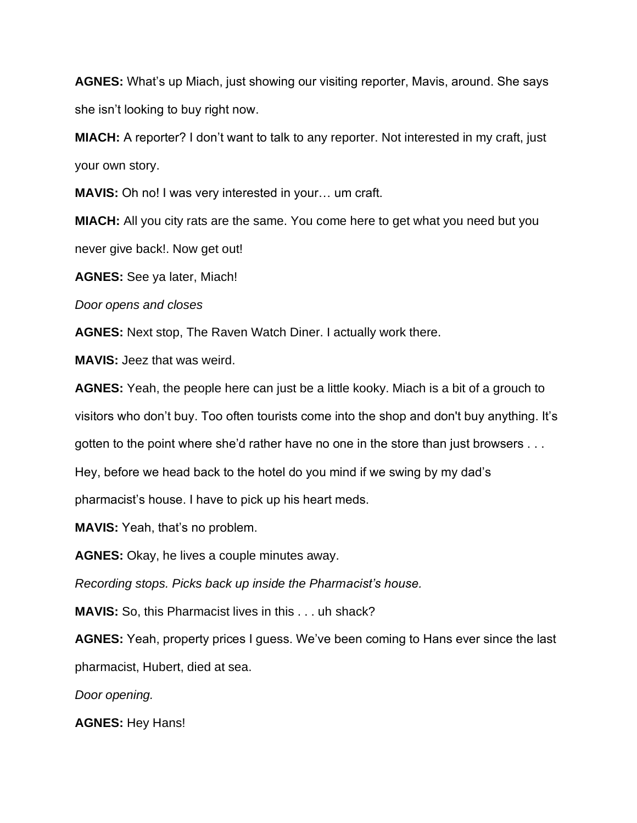**AGNES:** What's up Miach, just showing our visiting reporter, Mavis, around. She says she isn't looking to buy right now.

**MIACH:** A reporter? I don't want to talk to any reporter. Not interested in my craft, just your own story.

**MAVIS:** Oh no! I was very interested in your… um craft.

**MIACH:** All you city rats are the same. You come here to get what you need but you never give back!. Now get out!

**AGNES:** See ya later, Miach!

*Door opens and closes*

**AGNES:** Next stop, The Raven Watch Diner. I actually work there.

**MAVIS:** Jeez that was weird.

**AGNES:** Yeah, the people here can just be a little kooky. Miach is a bit of a grouch to visitors who don't buy. Too often tourists come into the shop and don't buy anything. It's gotten to the point where she'd rather have no one in the store than just browsers . . .

Hey, before we head back to the hotel do you mind if we swing by my dad's

pharmacist's house. I have to pick up his heart meds.

**MAVIS:** Yeah, that's no problem.

**AGNES:** Okay, he lives a couple minutes away.

*Recording stops. Picks back up inside the Pharmacist's house.*

**MAVIS:** So, this Pharmacist lives in this . . . uh shack?

**AGNES:** Yeah, property prices I guess. We've been coming to Hans ever since the last pharmacist, Hubert, died at sea.

*Door opening.*

**AGNES:** Hey Hans!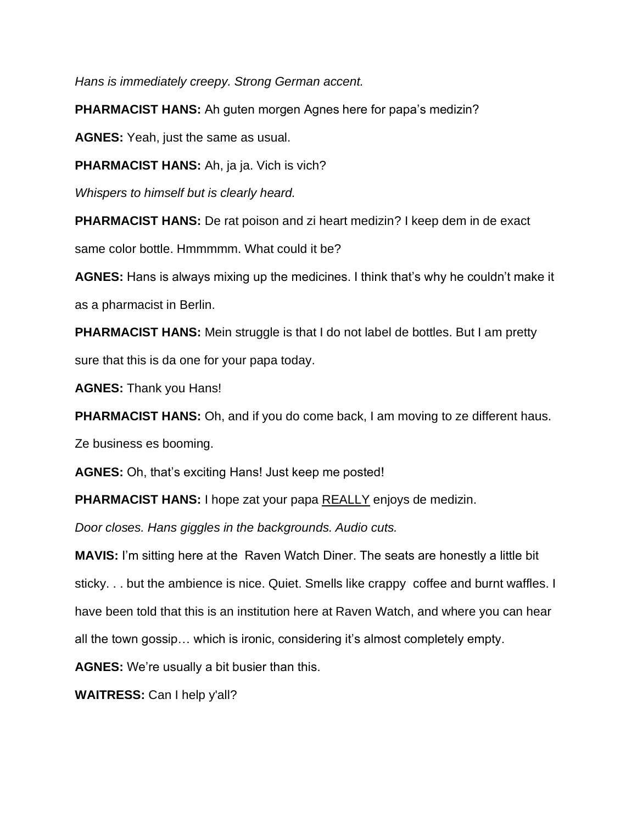*Hans is immediately creepy. Strong German accent.* 

**PHARMACIST HANS:** Ah guten morgen Agnes here for papa's medizin?

**AGNES:** Yeah, just the same as usual.

**PHARMACIST HANS:** Ah, ja ja. Vich is vich?

*Whispers to himself but is clearly heard.* 

**PHARMACIST HANS:** De rat poison and zi heart medizin? I keep dem in de exact

same color bottle. Hmmmmm. What could it be?

**AGNES:** Hans is always mixing up the medicines. I think that's why he couldn't make it as a pharmacist in Berlin.

**PHARMACIST HANS:** Mein struggle is that I do not label de bottles. But I am pretty sure that this is da one for your papa today.

**AGNES:** Thank you Hans!

**PHARMACIST HANS:** Oh, and if you do come back, I am moving to ze different haus.

Ze business es booming.

**AGNES:** Oh, that's exciting Hans! Just keep me posted!

**PHARMACIST HANS:** I hope zat your papa REALLY enjoys de medizin.

*Door closes. Hans giggles in the backgrounds. Audio cuts.* 

**MAVIS:** I'm sitting here at the Raven Watch Diner. The seats are honestly a little bit sticky. . . but the ambience is nice. Quiet. Smells like crappy coffee and burnt waffles. I have been told that this is an institution here at Raven Watch, and where you can hear all the town gossip… which is ironic, considering it's almost completely empty.

**AGNES:** We're usually a bit busier than this.

**WAITRESS:** Can I help y'all?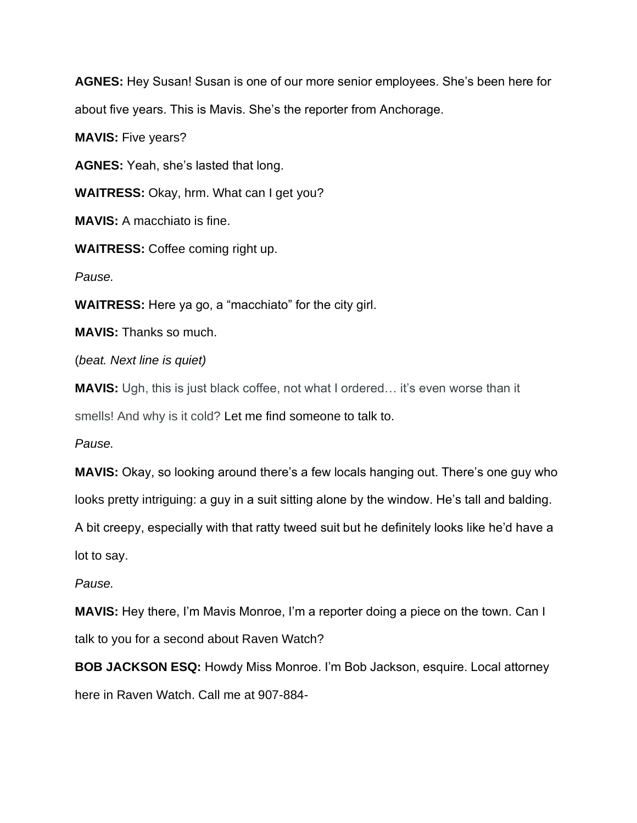**AGNES:** Hey Susan! Susan is one of our more senior employees. She's been here for about five years. This is Mavis. She's the reporter from Anchorage.

**MAVIS:** Five years?

**AGNES:** Yeah, she's lasted that long.

**WAITRESS:** Okay, hrm. What can I get you?

**MAVIS:** A macchiato is fine.

**WAITRESS:** Coffee coming right up.

*Pause.*

**WAITRESS:** Here ya go, a "macchiato" for the city girl.

**MAVIS:** Thanks so much.

(*beat. Next line is quiet)*

**MAVIS:** Ugh, this is just black coffee, not what I ordered… it's even worse than it smells! And why is it cold? Let me find someone to talk to.

*Pause.* 

**MAVIS:** Okay, so looking around there's a few locals hanging out. There's one guy who looks pretty intriguing: a guy in a suit sitting alone by the window. He's tall and balding.

A bit creepy, especially with that ratty tweed suit but he definitely looks like he'd have a lot to say.

*Pause.*

**MAVIS:** Hey there, I'm Mavis Monroe, I'm a reporter doing a piece on the town. Can I talk to you for a second about Raven Watch?

**BOB JACKSON ESQ:** Howdy Miss Monroe. I'm Bob Jackson, esquire. Local attorney here in Raven Watch. Call me at 907-884-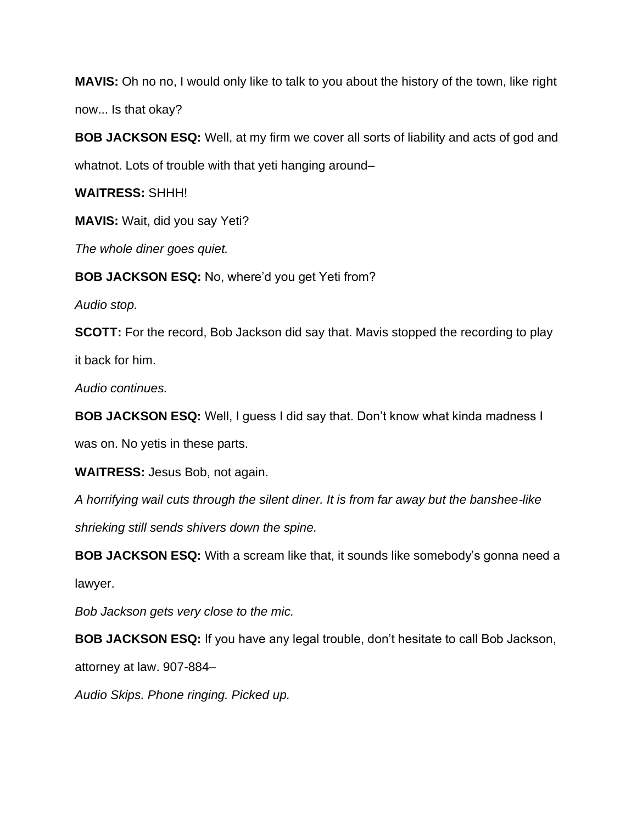**MAVIS:** Oh no no, I would only like to talk to you about the history of the town, like right now... Is that okay?

**BOB JACKSON ESQ:** Well, at my firm we cover all sorts of liability and acts of god and whatnot. Lots of trouble with that yeti hanging around–

**WAITRESS:** SHHH!

**MAVIS:** Wait, did you say Yeti?

*The whole diner goes quiet.* 

**BOB JACKSON ESQ:** No, where'd you get Yeti from?

*Audio stop.* 

**SCOTT:** For the record, Bob Jackson did say that. Mavis stopped the recording to play

it back for him.

*Audio continues.*

**BOB JACKSON ESQ:** Well, I guess I did say that. Don't know what kinda madness I

was on. No yetis in these parts.

**WAITRESS:** Jesus Bob, not again.

*A horrifying wail cuts through the silent diner. It is from far away but the banshee-like* 

*shrieking still sends shivers down the spine.* 

**BOB JACKSON ESQ:** With a scream like that, it sounds like somebody's gonna need a

lawyer.

*Bob Jackson gets very close to the mic.*

**BOB JACKSON ESQ:** If you have any legal trouble, don't hesitate to call Bob Jackson,

attorney at law. 907-884–

*Audio Skips. Phone ringing. Picked up.*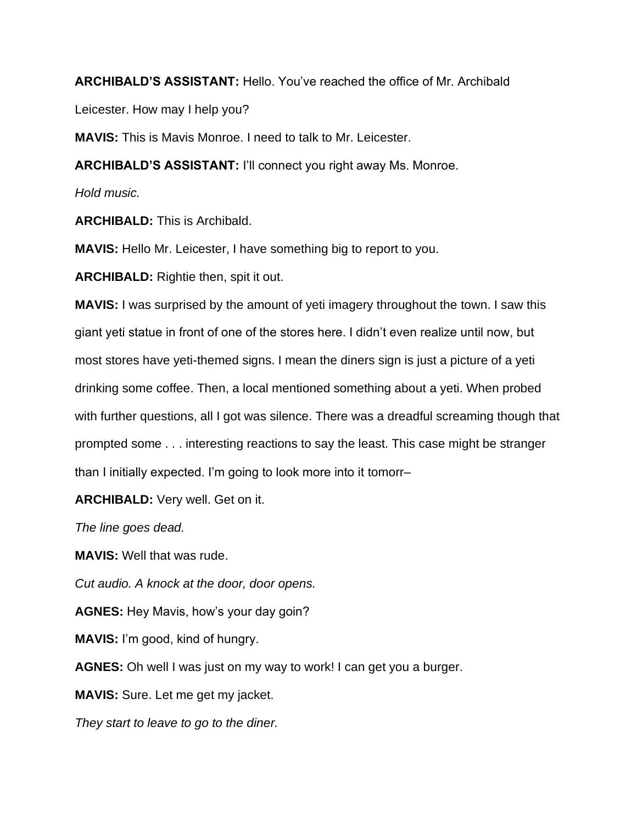**ARCHIBALD'S ASSISTANT:** Hello. You've reached the office of Mr. Archibald

Leicester. How may I help you?

**MAVIS:** This is Mavis Monroe. I need to talk to Mr. Leicester.

**ARCHIBALD'S ASSISTANT:** I'll connect you right away Ms. Monroe.

*Hold music.*

**ARCHIBALD:** This is Archibald.

**MAVIS:** Hello Mr. Leicester, I have something big to report to you.

**ARCHIBALD:** Rightie then, spit it out.

**MAVIS:** I was surprised by the amount of yeti imagery throughout the town. I saw this giant yeti statue in front of one of the stores here. I didn't even realize until now, but most stores have yeti-themed signs. I mean the diners sign is just a picture of a yeti drinking some coffee. Then, a local mentioned something about a yeti. When probed with further questions, all I got was silence. There was a dreadful screaming though that prompted some . . . interesting reactions to say the least. This case might be stranger than I initially expected. I'm going to look more into it tomorr–

**ARCHIBALD:** Very well. Get on it.

*The line goes dead.* 

**MAVIS:** Well that was rude.

*Cut audio. A knock at the door, door opens.* 

**AGNES:** Hey Mavis, how's your day goin?

**MAVIS:** I'm good, kind of hungry.

**AGNES:** Oh well I was just on my way to work! I can get you a burger.

**MAVIS:** Sure. Let me get my jacket.

*They start to leave to go to the diner.*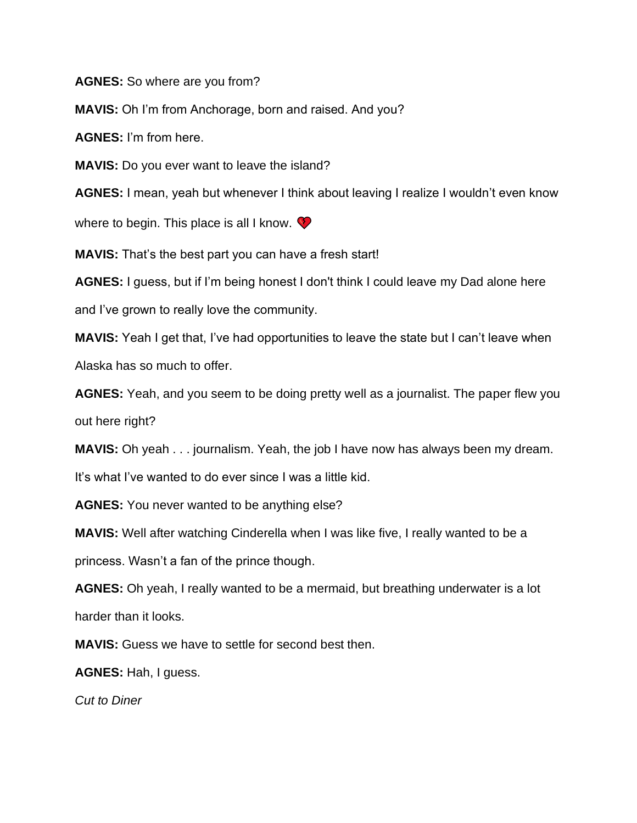**AGNES:** So where are you from?

**MAVIS:** Oh I'm from Anchorage, born and raised. And you?

**AGNES:** I'm from here.

**MAVIS:** Do you ever want to leave the island?

**AGNES:** I mean, yeah but whenever I think about leaving I realize I wouldn't even know

where to begin. This place is all I know.  $\bullet$ 

**MAVIS:** That's the best part you can have a fresh start!

**AGNES:** I guess, but if I'm being honest I don't think I could leave my Dad alone here

and I've grown to really love the community.

**MAVIS:** Yeah I get that, I've had opportunities to leave the state but I can't leave when Alaska has so much to offer.

**AGNES:** Yeah, and you seem to be doing pretty well as a journalist. The paper flew you out here right?

**MAVIS:** Oh yeah . . . journalism. Yeah, the job I have now has always been my dream.

It's what I've wanted to do ever since I was a little kid.

**AGNES:** You never wanted to be anything else?

**MAVIS:** Well after watching Cinderella when I was like five, I really wanted to be a

princess. Wasn't a fan of the prince though.

**AGNES:** Oh yeah, I really wanted to be a mermaid, but breathing underwater is a lot harder than it looks.

**MAVIS:** Guess we have to settle for second best then.

**AGNES:** Hah, I guess.

*Cut to Diner*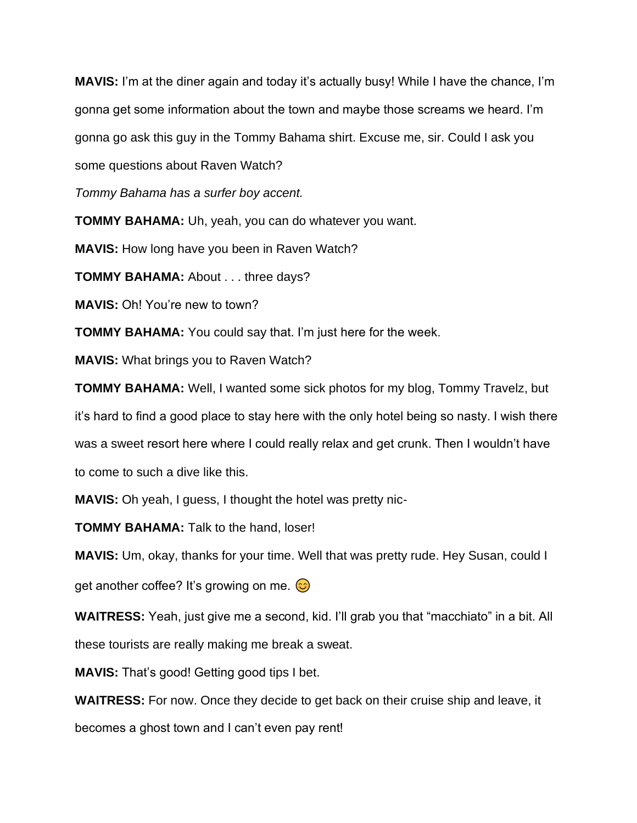**MAVIS:** I'm at the diner again and today it's actually busy! While I have the chance, I'm gonna get some information about the town and maybe those screams we heard. I'm gonna go ask this guy in the Tommy Bahama shirt. Excuse me, sir. Could I ask you some questions about Raven Watch?

*Tommy Bahama has a surfer boy accent.* 

**TOMMY BAHAMA:** Uh, yeah, you can do whatever you want.

**MAVIS:** How long have you been in Raven Watch?

**TOMMY BAHAMA:** About . . . three days?

**MAVIS:** Oh! You're new to town?

**TOMMY BAHAMA:** You could say that. I'm just here for the week.

**MAVIS:** What brings you to Raven Watch?

**TOMMY BAHAMA:** Well, I wanted some sick photos for my blog, Tommy Travelz, but it's hard to find a good place to stay here with the only hotel being so nasty. I wish there was a sweet resort here where I could really relax and get crunk. Then I wouldn't have to come to such a dive like this.

**MAVIS:** Oh yeah, I guess, I thought the hotel was pretty nic-

**TOMMY BAHAMA:** Talk to the hand, loser!

**MAVIS:** Um, okay, thanks for your time. Well that was pretty rude. Hey Susan, could I

get another coffee? It's growing on me.  $\odot$ 

**WAITRESS:** Yeah, just give me a second, kid. I'll grab you that "macchiato" in a bit. All these tourists are really making me break a sweat.

**MAVIS:** That's good! Getting good tips I bet.

**WAITRESS:** For now. Once they decide to get back on their cruise ship and leave, it becomes a ghost town and I can't even pay rent!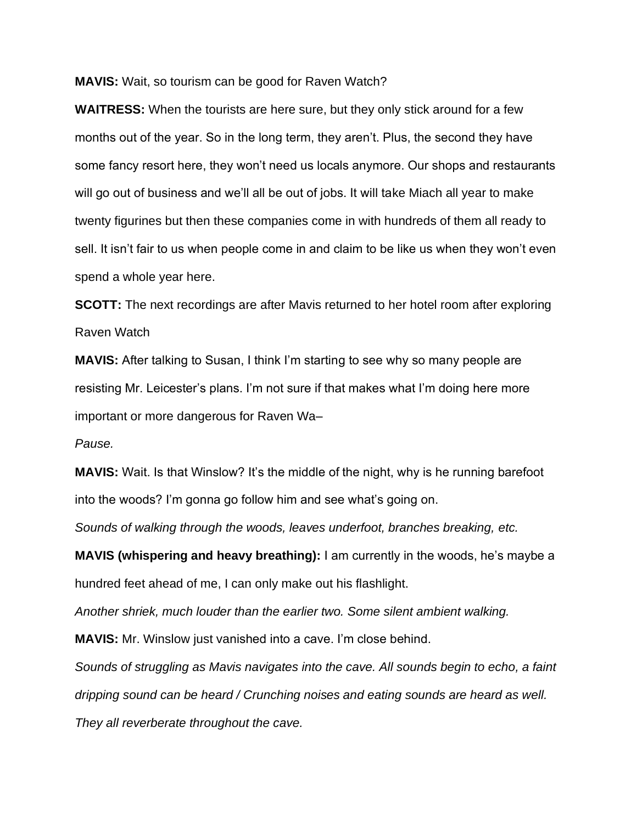**MAVIS:** Wait, so tourism can be good for Raven Watch?

**WAITRESS:** When the tourists are here sure, but they only stick around for a few months out of the year. So in the long term, they aren't. Plus, the second they have some fancy resort here, they won't need us locals anymore. Our shops and restaurants will go out of business and we'll all be out of jobs. It will take Miach all year to make twenty figurines but then these companies come in with hundreds of them all ready to sell. It isn't fair to us when people come in and claim to be like us when they won't even spend a whole year here.

**SCOTT:** The next recordings are after Mavis returned to her hotel room after exploring Raven Watch

**MAVIS:** After talking to Susan, I think I'm starting to see why so many people are resisting Mr. Leicester's plans. I'm not sure if that makes what I'm doing here more important or more dangerous for Raven Wa–

*Pause.*

**MAVIS:** Wait. Is that Winslow? It's the middle of the night, why is he running barefoot into the woods? I'm gonna go follow him and see what's going on.

*Sounds of walking through the woods, leaves underfoot, branches breaking, etc.* 

**MAVIS (whispering and heavy breathing):** I am currently in the woods, he's maybe a hundred feet ahead of me, I can only make out his flashlight.

*Another shriek, much louder than the earlier two. Some silent ambient walking.* 

**MAVIS:** Mr. Winslow just vanished into a cave. I'm close behind.

*Sounds of struggling as Mavis navigates into the cave. All sounds begin to echo, a faint dripping sound can be heard / Crunching noises and eating sounds are heard as well. They all reverberate throughout the cave.*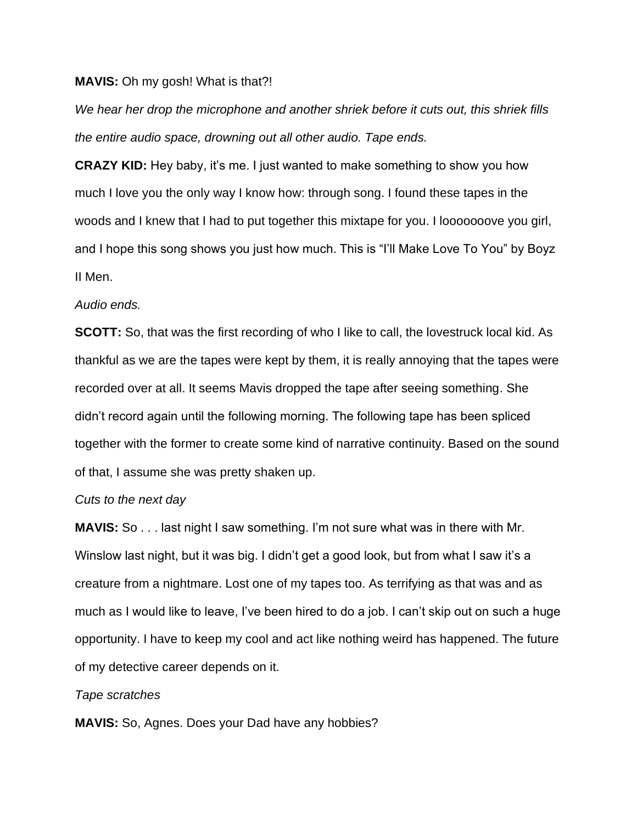#### **MAVIS:** Oh my gosh! What is that?!

*We hear her drop the microphone and another shriek before it cuts out, this shriek fills the entire audio space, drowning out all other audio. Tape ends.* 

**CRAZY KID:** Hey baby, it's me. I just wanted to make something to show you how much I love you the only way I know how: through song. I found these tapes in the woods and I knew that I had to put together this mixtape for you. I looooooove you girl, and I hope this song shows you just how much. This is "I'll Make Love To You" by Boyz II Men.

#### *Audio ends.*

**SCOTT:** So, that was the first recording of who I like to call, the lovestruck local kid. As thankful as we are the tapes were kept by them, it is really annoying that the tapes were recorded over at all. It seems Mavis dropped the tape after seeing something. She didn't record again until the following morning. The following tape has been spliced together with the former to create some kind of narrative continuity. Based on the sound of that, I assume she was pretty shaken up.

## *Cuts to the next day*

**MAVIS:** So . . . last night I saw something. I'm not sure what was in there with Mr. Winslow last night, but it was big. I didn't get a good look, but from what I saw it's a creature from a nightmare. Lost one of my tapes too. As terrifying as that was and as much as I would like to leave, I've been hired to do a job. I can't skip out on such a huge opportunity. I have to keep my cool and act like nothing weird has happened. The future of my detective career depends on it.

## *Tape scratches*

**MAVIS:** So, Agnes. Does your Dad have any hobbies?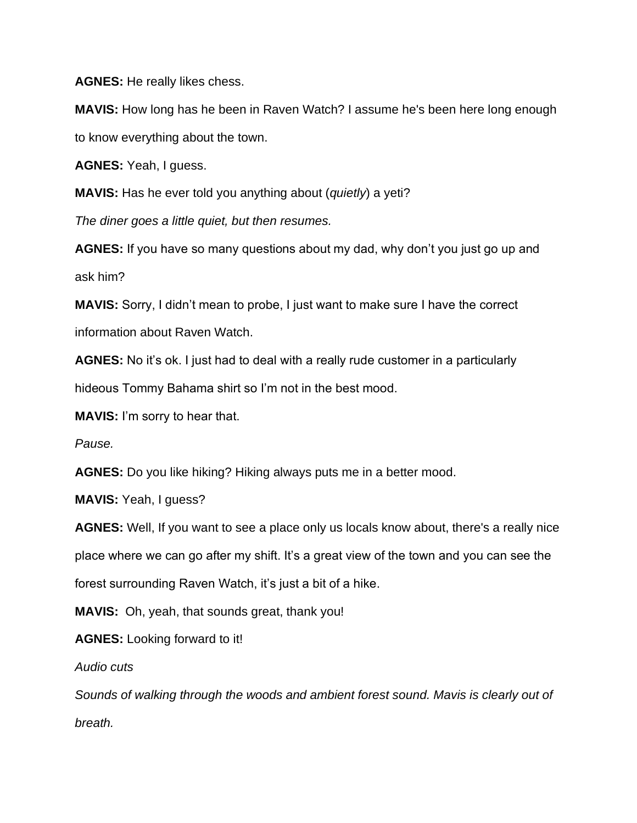**AGNES:** He really likes chess.

**MAVIS:** How long has he been in Raven Watch? I assume he's been here long enough to know everything about the town.

**AGNES:** Yeah, I guess.

**MAVIS:** Has he ever told you anything about (*quietly*) a yeti?

*The diner goes a little quiet, but then resumes.* 

**AGNES:** If you have so many questions about my dad, why don't you just go up and ask him?

**MAVIS:** Sorry, I didn't mean to probe, I just want to make sure I have the correct information about Raven Watch.

**AGNES:** No it's ok. I just had to deal with a really rude customer in a particularly

hideous Tommy Bahama shirt so I'm not in the best mood.

**MAVIS:** I'm sorry to hear that.

*Pause.* 

**AGNES:** Do you like hiking? Hiking always puts me in a better mood.

**MAVIS:** Yeah, I guess?

**AGNES:** Well, If you want to see a place only us locals know about, there's a really nice place where we can go after my shift. It's a great view of the town and you can see the forest surrounding Raven Watch, it's just a bit of a hike.

**MAVIS:** Oh, yeah, that sounds great, thank you!

**AGNES:** Looking forward to it!

*Audio cuts* 

*Sounds of walking through the woods and ambient forest sound. Mavis is clearly out of breath.*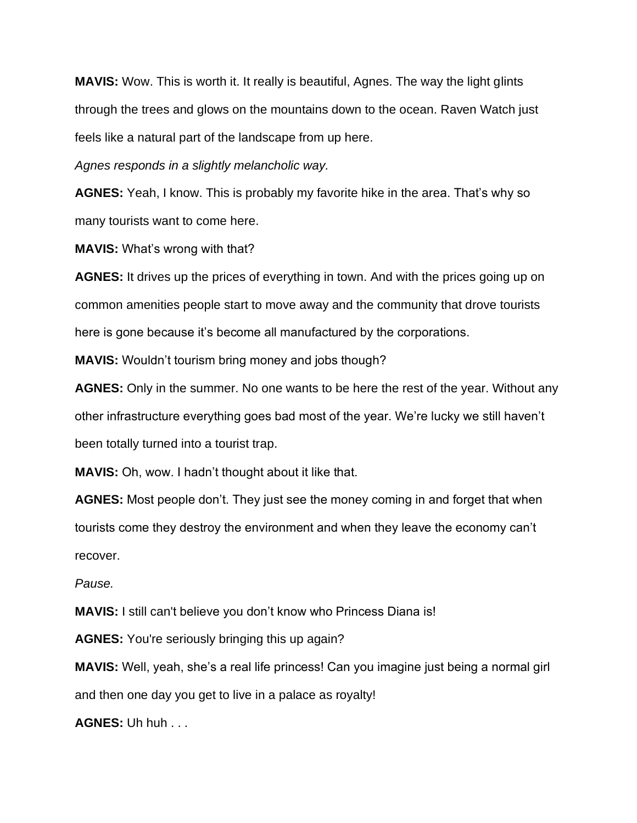**MAVIS:** Wow. This is worth it. It really is beautiful, Agnes. The way the light glints through the trees and glows on the mountains down to the ocean. Raven Watch just feels like a natural part of the landscape from up here.

*Agnes responds in a slightly melancholic way.*

**AGNES:** Yeah, I know. This is probably my favorite hike in the area. That's why so many tourists want to come here.

**MAVIS:** What's wrong with that?

**AGNES:** It drives up the prices of everything in town. And with the prices going up on common amenities people start to move away and the community that drove tourists here is gone because it's become all manufactured by the corporations.

**MAVIS:** Wouldn't tourism bring money and jobs though?

**AGNES:** Only in the summer. No one wants to be here the rest of the year. Without any other infrastructure everything goes bad most of the year. We're lucky we still haven't been totally turned into a tourist trap.

**MAVIS:** Oh, wow. I hadn't thought about it like that.

**AGNES:** Most people don't. They just see the money coming in and forget that when tourists come they destroy the environment and when they leave the economy can't recover.

*Pause.*

**MAVIS:** I still can't believe you don't know who Princess Diana is!

**AGNES:** You're seriously bringing this up again?

**MAVIS:** Well, yeah, she's a real life princess! Can you imagine just being a normal girl and then one day you get to live in a palace as royalty!

**AGNES:** Uh huh . . .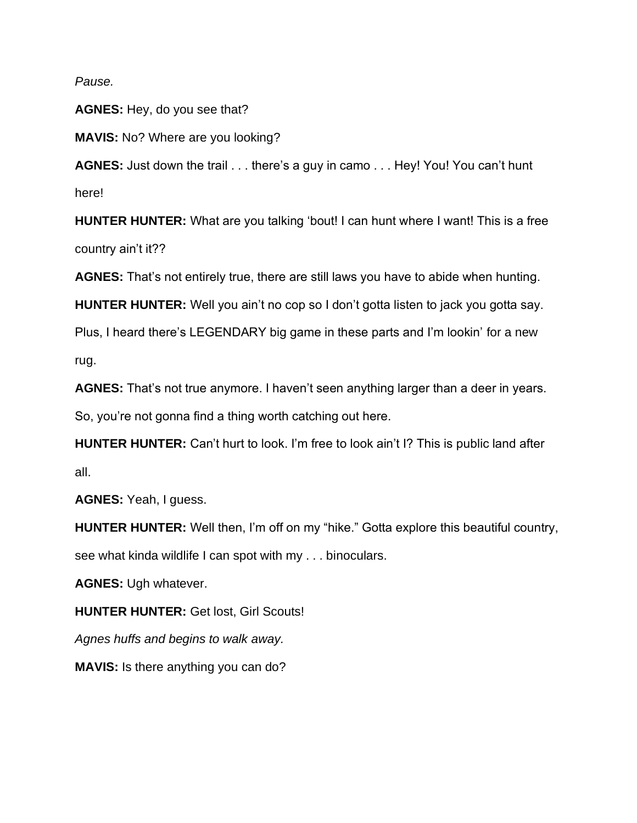*Pause.*

**AGNES:** Hey, do you see that?

**MAVIS:** No? Where are you looking?

**AGNES:** Just down the trail . . . there's a guy in camo . . . Hey! You! You can't hunt here!

**HUNTER HUNTER:** What are you talking 'bout! I can hunt where I want! This is a free country ain't it??

**AGNES:** That's not entirely true, there are still laws you have to abide when hunting.

**HUNTER HUNTER:** Well you ain't no cop so I don't gotta listen to jack you gotta say.

Plus, I heard there's LEGENDARY big game in these parts and I'm lookin' for a new rug.

**AGNES:** That's not true anymore. I haven't seen anything larger than a deer in years.

So, you're not gonna find a thing worth catching out here.

**HUNTER HUNTER:** Can't hurt to look. I'm free to look ain't I? This is public land after all.

**AGNES:** Yeah, I guess.

**HUNTER HUNTER:** Well then, I'm off on my "hike." Gotta explore this beautiful country, see what kinda wildlife I can spot with my . . . binoculars.

**AGNES:** Ugh whatever.

**HUNTER HUNTER:** Get lost, Girl Scouts!

*Agnes huffs and begins to walk away.* 

**MAVIS:** Is there anything you can do?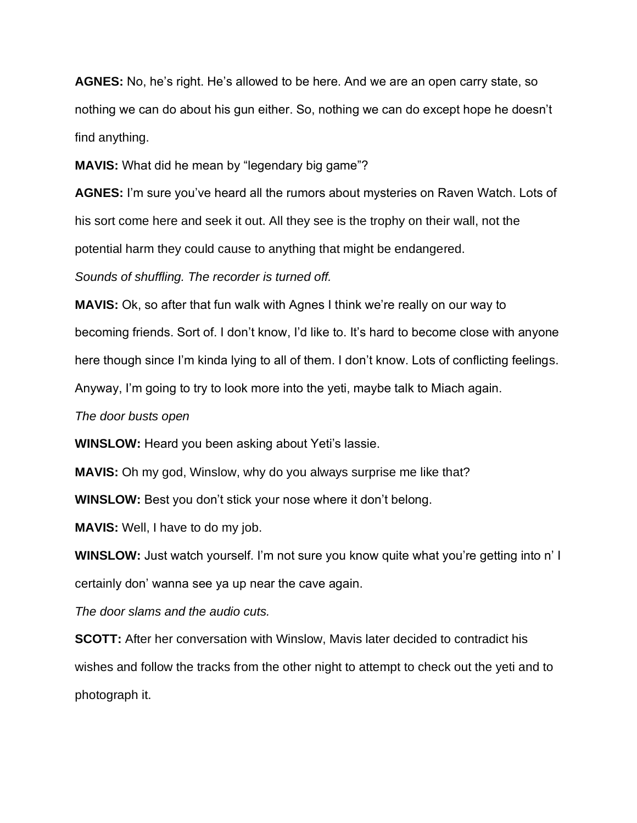**AGNES:** No, he's right. He's allowed to be here. And we are an open carry state, so nothing we can do about his gun either. So, nothing we can do except hope he doesn't find anything.

**MAVIS:** What did he mean by "legendary big game"?

**AGNES:** I'm sure you've heard all the rumors about mysteries on Raven Watch. Lots of his sort come here and seek it out. All they see is the trophy on their wall, not the potential harm they could cause to anything that might be endangered.

*Sounds of shuffling. The recorder is turned off.* 

**MAVIS:** Ok, so after that fun walk with Agnes I think we're really on our way to becoming friends. Sort of. I don't know, I'd like to. It's hard to become close with anyone here though since I'm kinda lying to all of them. I don't know. Lots of conflicting feelings. Anyway, I'm going to try to look more into the yeti, maybe talk to Miach again.

*The door busts open*

**WINSLOW:** Heard you been asking about Yeti's lassie.

**MAVIS:** Oh my god, Winslow, why do you always surprise me like that?

**WINSLOW:** Best you don't stick your nose where it don't belong.

**MAVIS:** Well, I have to do my job.

**WINSLOW:** Just watch yourself. I'm not sure you know quite what you're getting into n' I certainly don' wanna see ya up near the cave again.

*The door slams and the audio cuts.* 

**SCOTT:** After her conversation with Winslow, Mavis later decided to contradict his wishes and follow the tracks from the other night to attempt to check out the yeti and to photograph it.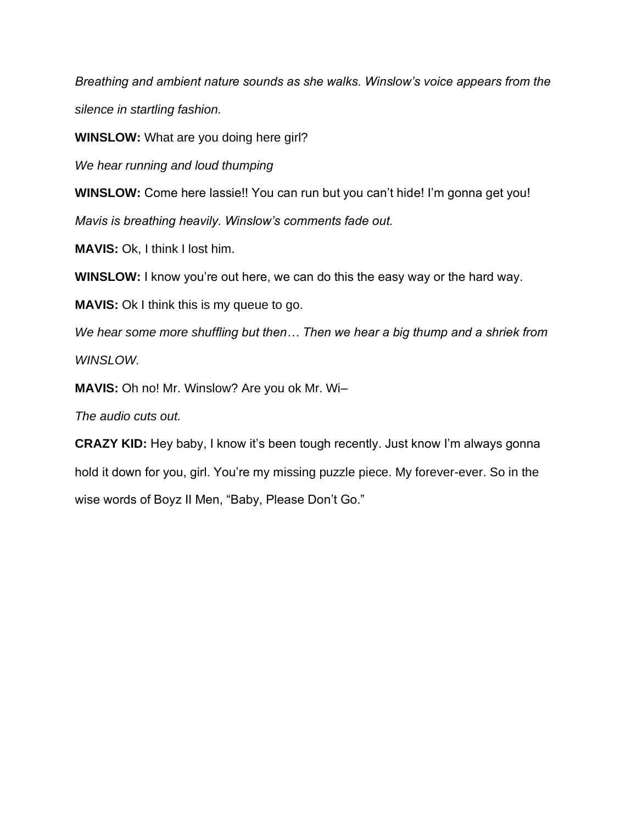*Breathing and ambient nature sounds as she walks. Winslow's voice appears from the silence in startling fashion.*

**WINSLOW:** What are you doing here girl?

*We hear running and loud thumping* 

**WINSLOW:** Come here lassie!! You can run but you can't hide! I'm gonna get you! *Mavis is breathing heavily. Winslow's comments fade out.* 

**MAVIS: Ok, I think I lost him.** 

**WINSLOW:** I know you're out here, we can do this the easy way or the hard way.

**MAVIS:** Ok I think this is my queue to go.

We hear some more shuffling but then... Then we hear a big thump and a shriek from *WINSLOW.* 

**MAVIS:** Oh no! Mr. Winslow? Are you ok Mr. Wi–

*The audio cuts out.* 

**CRAZY KID:** Hey baby, I know it's been tough recently. Just know I'm always gonna hold it down for you, girl. You're my missing puzzle piece. My forever-ever. So in the wise words of Boyz II Men, "Baby, Please Don't Go."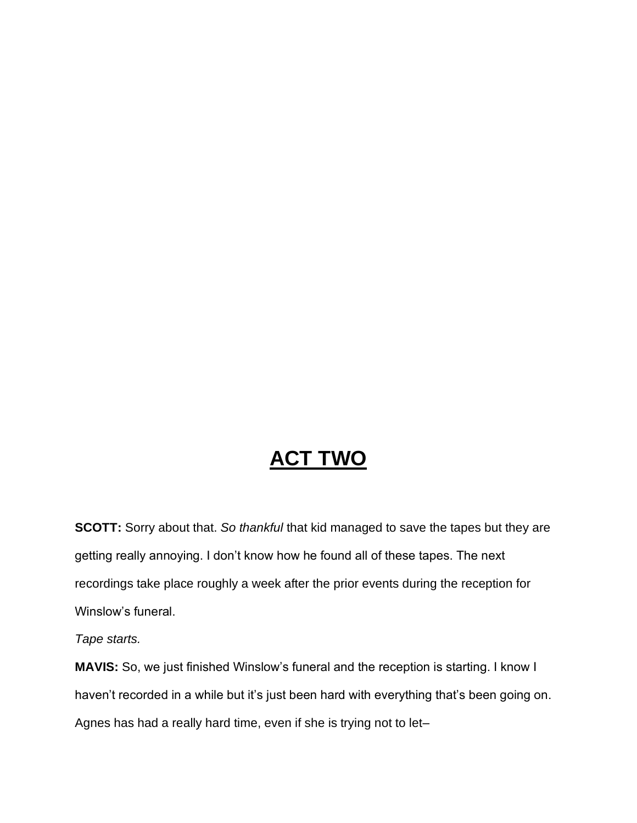## **ACT TWO**

**SCOTT:** Sorry about that. *So thankful* that kid managed to save the tapes but they are getting really annoying. I don't know how he found all of these tapes. The next recordings take place roughly a week after the prior events during the reception for Winslow's funeral.

*Tape starts.*

**MAVIS:** So, we just finished Winslow's funeral and the reception is starting. I know I haven't recorded in a while but it's just been hard with everything that's been going on. Agnes has had a really hard time, even if she is trying not to let–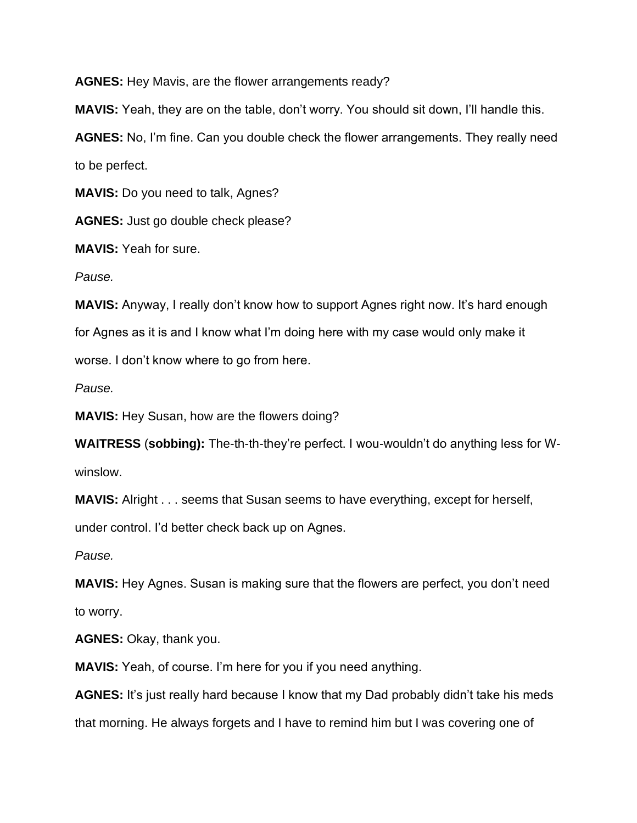**AGNES:** Hey Mavis, are the flower arrangements ready?

**MAVIS:** Yeah, they are on the table, don't worry. You should sit down, I'll handle this.

**AGNES:** No, I'm fine. Can you double check the flower arrangements. They really need to be perfect.

**MAVIS:** Do you need to talk, Agnes?

**AGNES:** Just go double check please?

**MAVIS:** Yeah for sure.

*Pause.*

**MAVIS:** Anyway, I really don't know how to support Agnes right now. It's hard enough for Agnes as it is and I know what I'm doing here with my case would only make it worse. I don't know where to go from here.

*Pause.*

**MAVIS:** Hey Susan, how are the flowers doing?

**WAITRESS** (**sobbing):** The-th-th-they're perfect. I wou-wouldn't do anything less for Wwinslow.

**MAVIS:** Alright . . . seems that Susan seems to have everything, except for herself, under control. I'd better check back up on Agnes.

*Pause.*

**MAVIS:** Hey Agnes. Susan is making sure that the flowers are perfect, you don't need to worry.

**AGNES:** Okay, thank you.

**MAVIS:** Yeah, of course. I'm here for you if you need anything.

**AGNES:** It's just really hard because I know that my Dad probably didn't take his meds that morning. He always forgets and I have to remind him but I was covering one of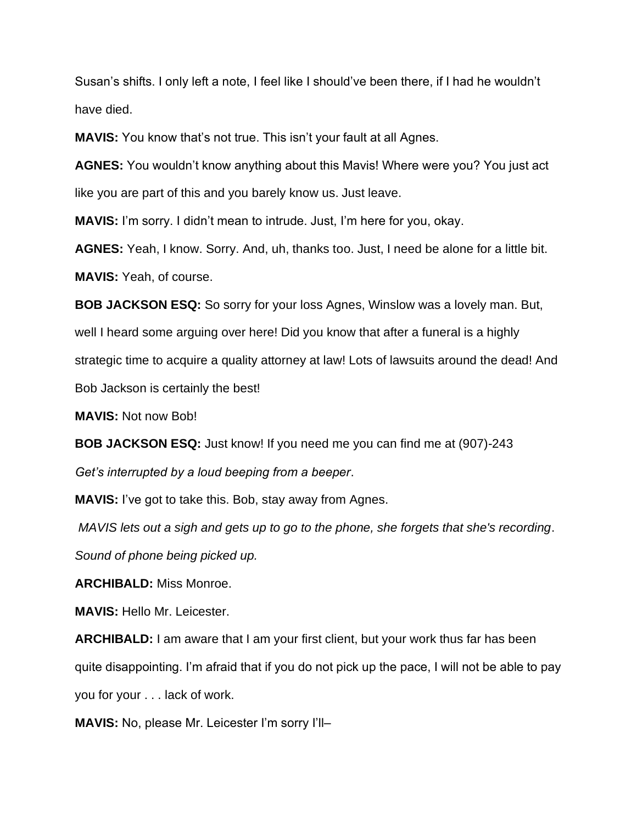Susan's shifts. I only left a note, I feel like I should've been there, if I had he wouldn't have died.

**MAVIS:** You know that's not true. This isn't your fault at all Agnes.

**AGNES:** You wouldn't know anything about this Mavis! Where were you? You just act like you are part of this and you barely know us. Just leave.

**MAVIS:** I'm sorry. I didn't mean to intrude. Just, I'm here for you, okay.

**AGNES:** Yeah, I know. Sorry. And, uh, thanks too. Just, I need be alone for a little bit. **MAVIS:** Yeah, of course.

**BOB JACKSON ESQ:** So sorry for your loss Agnes, Winslow was a lovely man. But, well I heard some arguing over here! Did you know that after a funeral is a highly strategic time to acquire a quality attorney at law! Lots of lawsuits around the dead! And Bob Jackson is certainly the best!

**MAVIS:** Not now Bob!

**BOB JACKSON ESQ:** Just know! If you need me you can find me at (907)-243 *Get's interrupted by a loud beeping from a beeper*.

**MAVIS:** I've got to take this. Bob, stay away from Agnes.

*MAVIS lets out a sigh and gets up to go to the phone, she forgets that she's recording*. *Sound of phone being picked up.*

**ARCHIBALD:** Miss Monroe.

**MAVIS:** Hello Mr. Leicester.

**ARCHIBALD:** I am aware that I am your first client, but your work thus far has been quite disappointing. I'm afraid that if you do not pick up the pace, I will not be able to pay you for your . . . lack of work.

**MAVIS:** No, please Mr. Leicester I'm sorry I'll–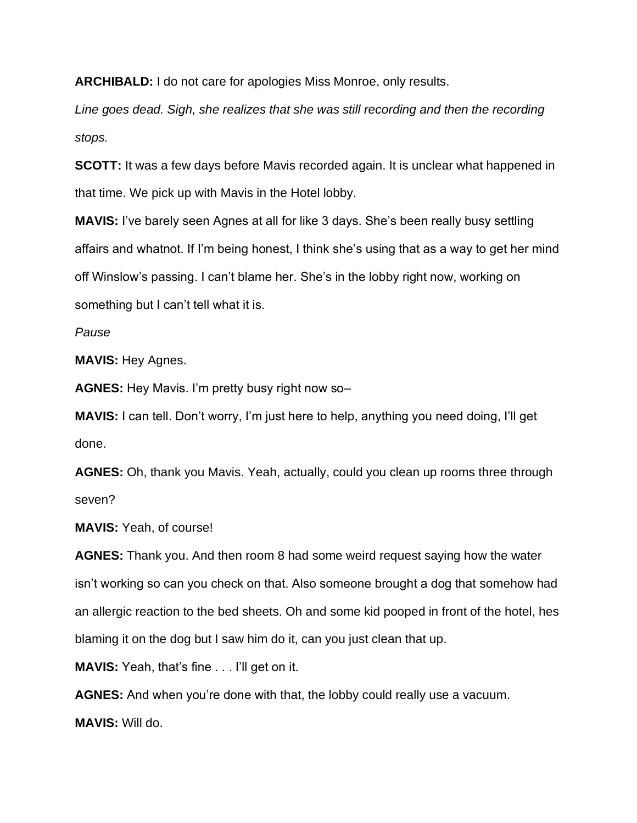**ARCHIBALD:** I do not care for apologies Miss Monroe, only results.

*Line goes dead. Sigh, she realizes that she was still recording and then the recording stops.* 

**SCOTT:** It was a few days before Mavis recorded again. It is unclear what happened in that time. We pick up with Mavis in the Hotel lobby.

**MAVIS:** I've barely seen Agnes at all for like 3 days. She's been really busy settling affairs and whatnot. If I'm being honest, I think she's using that as a way to get her mind off Winslow's passing. I can't blame her. She's in the lobby right now, working on something but I can't tell what it is.

*Pause*

**MAVIS:** Hey Agnes.

**AGNES:** Hey Mavis. I'm pretty busy right now so–

**MAVIS:** I can tell. Don't worry, I'm just here to help, anything you need doing, I'll get done.

**AGNES:** Oh, thank you Mavis. Yeah, actually, could you clean up rooms three through seven?

**MAVIS:** Yeah, of course!

**AGNES:** Thank you. And then room 8 had some weird request saying how the water isn't working so can you check on that. Also someone brought a dog that somehow had an allergic reaction to the bed sheets. Oh and some kid pooped in front of the hotel, hes blaming it on the dog but I saw him do it, can you just clean that up.

**MAVIS:** Yeah, that's fine . . . I'll get on it.

**AGNES:** And when you're done with that, the lobby could really use a vacuum.

**MAVIS:** Will do.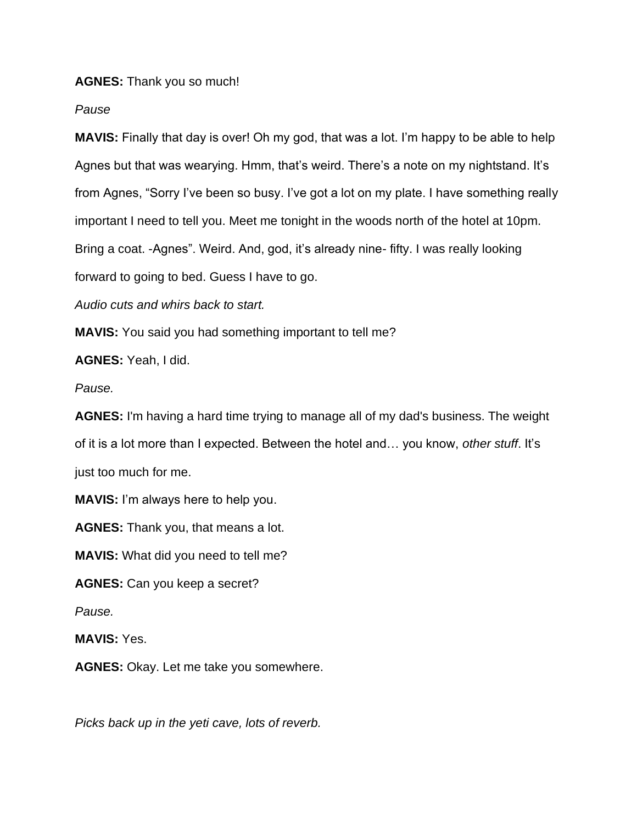## **AGNES:** Thank you so much!

*Pause* 

**MAVIS:** Finally that day is over! Oh my god, that was a lot. I'm happy to be able to help Agnes but that was wearying. Hmm, that's weird. There's a note on my nightstand. It's from Agnes, "Sorry I've been so busy. I've got a lot on my plate. I have something really important I need to tell you. Meet me tonight in the woods north of the hotel at 10pm. Bring a coat. -Agnes". Weird. And, god, it's already nine- fifty. I was really looking forward to going to bed. Guess I have to go.

*Audio cuts and whirs back to start.*

**MAVIS:** You said you had something important to tell me?

**AGNES:** Yeah, I did.

*Pause.*

**AGNES:** I'm having a hard time trying to manage all of my dad's business. The weight of it is a lot more than I expected. Between the hotel and… you know, *other stuff*. It's just too much for me.

**MAVIS:** I'm always here to help you.

**AGNES:** Thank you, that means a lot.

**MAVIS:** What did you need to tell me?

**AGNES:** Can you keep a secret?

*Pause.*

**MAVIS:** Yes.

**AGNES:** Okay. Let me take you somewhere.

*Picks back up in the yeti cave, lots of reverb.*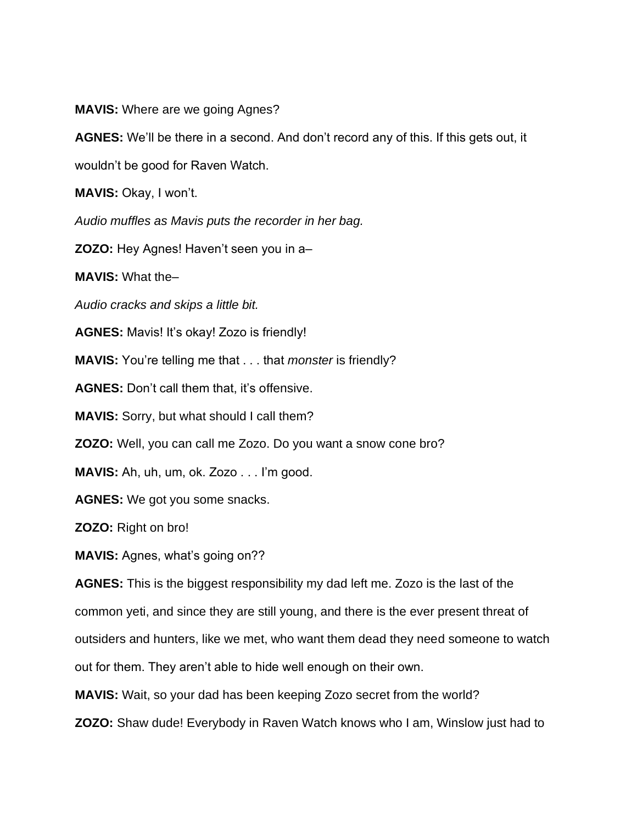**MAVIS:** Where are we going Agnes?

**AGNES:** We'll be there in a second. And don't record any of this. If this gets out, it

wouldn't be good for Raven Watch.

**MAVIS:** Okay, I won't.

*Audio muffles as Mavis puts the recorder in her bag.* 

**ZOZO:** Hey Agnes! Haven't seen you in a–

**MAVIS:** What the–

*Audio cracks and skips a little bit.*

**AGNES:** Mavis! It's okay! Zozo is friendly!

**MAVIS:** You're telling me that . . . that *monster* is friendly?

**AGNES:** Don't call them that, it's offensive.

**MAVIS:** Sorry, but what should I call them?

**ZOZO:** Well, you can call me Zozo. Do you want a snow cone bro?

**MAVIS:** Ah, uh, um, ok. Zozo . . . I'm good.

**AGNES:** We got you some snacks.

**ZOZO:** Right on bro!

**MAVIS:** Agnes, what's going on??

**AGNES:** This is the biggest responsibility my dad left me. Zozo is the last of the common yeti, and since they are still young, and there is the ever present threat of outsiders and hunters, like we met, who want them dead they need someone to watch out for them. They aren't able to hide well enough on their own.

**MAVIS:** Wait, so your dad has been keeping Zozo secret from the world?

**ZOZO:** Shaw dude! Everybody in Raven Watch knows who I am, Winslow just had to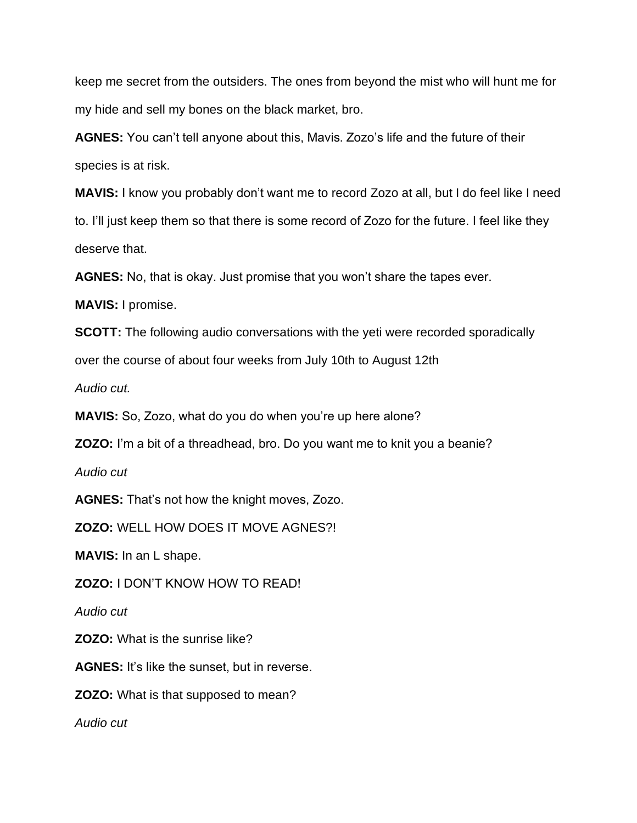keep me secret from the outsiders. The ones from beyond the mist who will hunt me for my hide and sell my bones on the black market, bro.

**AGNES:** You can't tell anyone about this, Mavis. Zozo's life and the future of their species is at risk.

**MAVIS:** I know you probably don't want me to record Zozo at all, but I do feel like I need to. I'll just keep them so that there is some record of Zozo for the future. I feel like they deserve that.

**AGNES:** No, that is okay. Just promise that you won't share the tapes ever.

**MAVIS:** I promise.

**SCOTT:** The following audio conversations with the yeti were recorded sporadically

over the course of about four weeks from July 10th to August 12th

*Audio cut.* 

**MAVIS:** So, Zozo, what do you do when you're up here alone?

**ZOZO:** I'm a bit of a threadhead, bro. Do you want me to knit you a beanie?

*Audio cut*

**AGNES:** That's not how the knight moves, Zozo.

**ZOZO:** WELL HOW DOES IT MOVE AGNES?!

**MAVIS:** In an L shape.

**ZOZO:** I DON'T KNOW HOW TO READ!

*Audio cut*

**ZOZO:** What is the sunrise like?

**AGNES:** It's like the sunset, but in reverse.

**ZOZO:** What is that supposed to mean?

*Audio cut*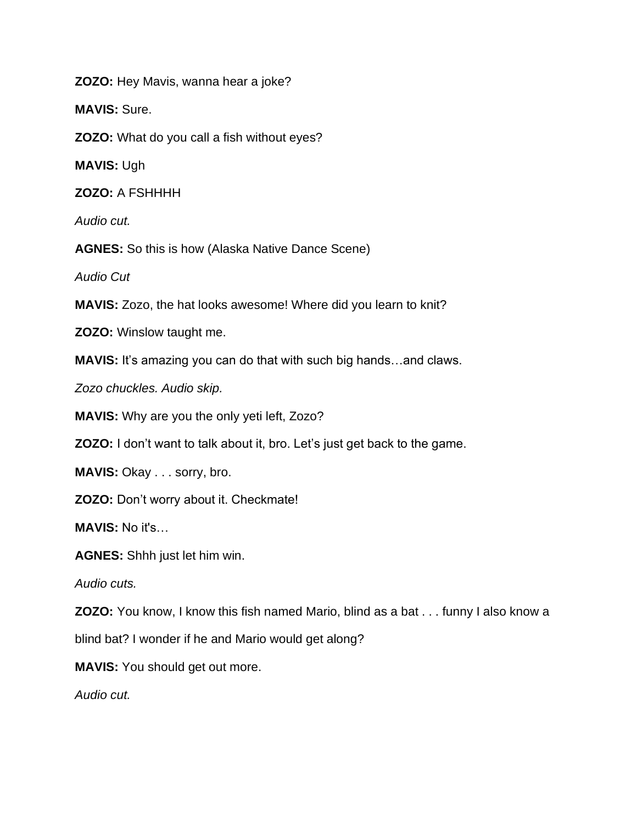**ZOZO:** Hey Mavis, wanna hear a joke?

**MAVIS:** Sure.

**ZOZO:** What do you call a fish without eyes?

**MAVIS:** Ugh

**ZOZO:** A FSHHHH

*Audio cut.*

**AGNES:** So this is how (Alaska Native Dance Scene)

*Audio Cut* 

**MAVIS:** Zozo, the hat looks awesome! Where did you learn to knit?

**ZOZO:** Winslow taught me.

**MAVIS:** It's amazing you can do that with such big hands…and claws.

*Zozo chuckles. Audio skip.*

**MAVIS:** Why are you the only yeti left, Zozo?

**ZOZO:** I don't want to talk about it, bro. Let's just get back to the game.

**MAVIS: Okay . . . sorry, bro.** 

**ZOZO:** Don't worry about it. Checkmate!

**MAVIS:** No it's…

**AGNES:** Shhh just let him win.

*Audio cuts.*

**ZOZO:** You know, I know this fish named Mario, blind as a bat . . . funny I also know a

blind bat? I wonder if he and Mario would get along?

**MAVIS:** You should get out more.

*Audio cut.*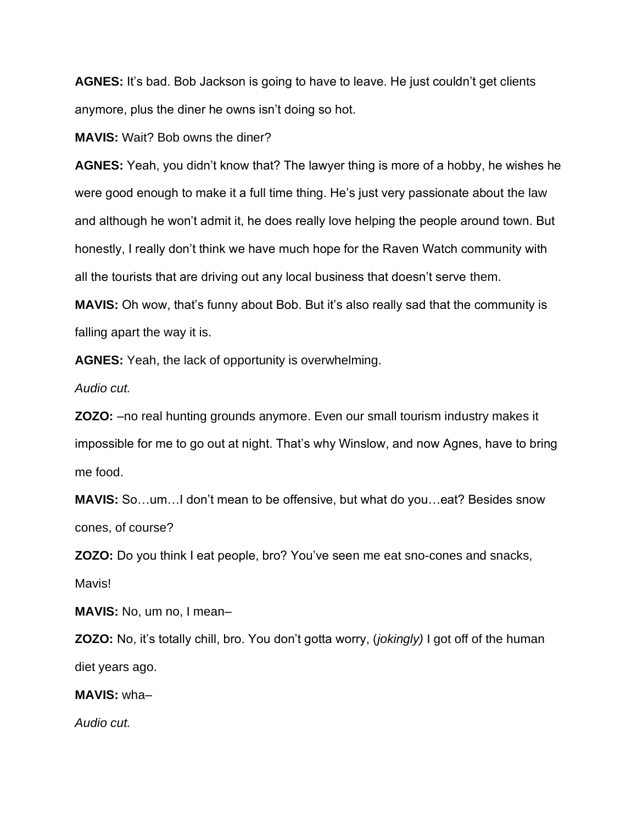**AGNES:** It's bad. Bob Jackson is going to have to leave. He just couldn't get clients anymore, plus the diner he owns isn't doing so hot.

**MAVIS:** Wait? Bob owns the diner?

**AGNES:** Yeah, you didn't know that? The lawyer thing is more of a hobby, he wishes he were good enough to make it a full time thing. He's just very passionate about the law and although he won't admit it, he does really love helping the people around town. But honestly, I really don't think we have much hope for the Raven Watch community with all the tourists that are driving out any local business that doesn't serve them.

**MAVIS:** Oh wow, that's funny about Bob. But it's also really sad that the community is falling apart the way it is.

**AGNES:** Yeah, the lack of opportunity is overwhelming.

*Audio cut.* 

**ZOZO:** –no real hunting grounds anymore. Even our small tourism industry makes it impossible for me to go out at night. That's why Winslow, and now Agnes, have to bring me food.

**MAVIS:** So…um…I don't mean to be offensive, but what do you…eat? Besides snow cones, of course?

**ZOZO:** Do you think I eat people, bro? You've seen me eat sno-cones and snacks, Mavis!

**MAVIS:** No, um no, I mean–

**ZOZO:** No, it's totally chill, bro. You don't gotta worry, (*jokingly)* I got off of the human diet years ago.

**MAVIS:** wha–

*Audio cut.*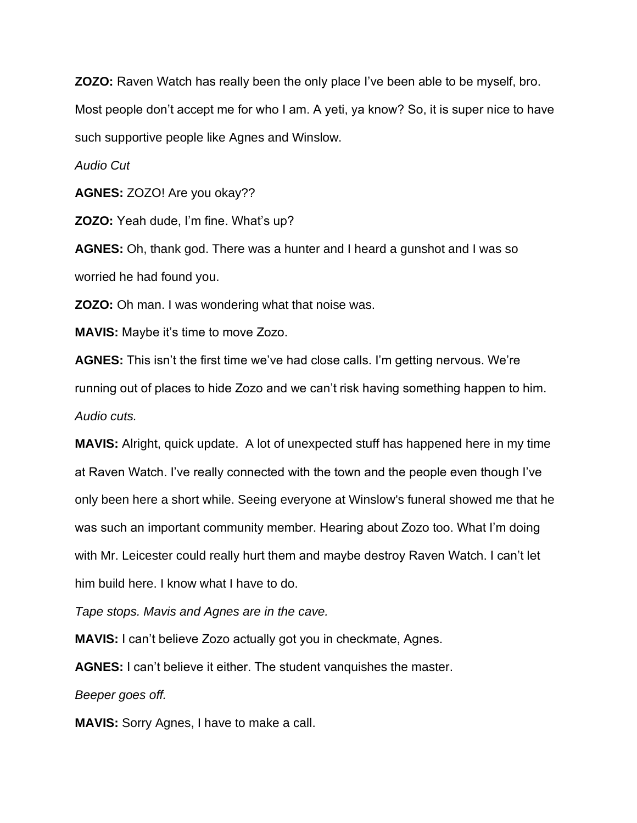**ZOZO:** Raven Watch has really been the only place I've been able to be myself, bro. Most people don't accept me for who I am. A yeti, ya know? So, it is super nice to have such supportive people like Agnes and Winslow.

*Audio Cut* 

**AGNES:** ZOZO! Are you okay??

**ZOZO:** Yeah dude, I'm fine. What's up?

**AGNES:** Oh, thank god. There was a hunter and I heard a gunshot and I was so worried he had found you.

**ZOZO:** Oh man. I was wondering what that noise was.

**MAVIS:** Maybe it's time to move Zozo.

**AGNES:** This isn't the first time we've had close calls. I'm getting nervous. We're running out of places to hide Zozo and we can't risk having something happen to him. *Audio cuts.* 

**MAVIS:** Alright, quick update. A lot of unexpected stuff has happened here in my time at Raven Watch. I've really connected with the town and the people even though I've only been here a short while. Seeing everyone at Winslow's funeral showed me that he was such an important community member. Hearing about Zozo too. What I'm doing with Mr. Leicester could really hurt them and maybe destroy Raven Watch. I can't let him build here. I know what I have to do.

*Tape stops. Mavis and Agnes are in the cave.*

**MAVIS:** I can't believe Zozo actually got you in checkmate, Agnes.

**AGNES:** I can't believe it either. The student vanquishes the master.

*Beeper goes off.*

**MAVIS:** Sorry Agnes, I have to make a call.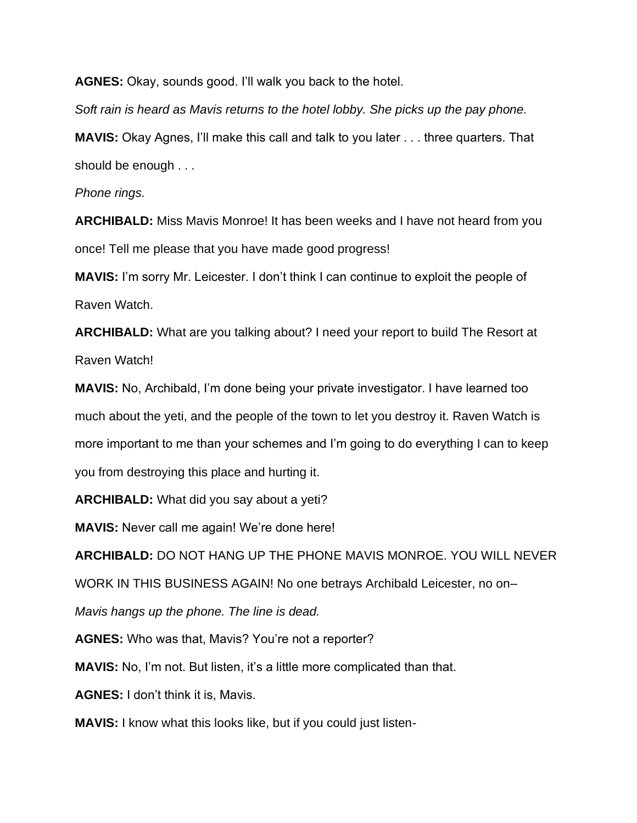**AGNES:** Okay, sounds good. I'll walk you back to the hotel.

*Soft rain is heard as Mavis returns to the hotel lobby. She picks up the pay phone.* 

**MAVIS:** Okay Agnes, I'll make this call and talk to you later . . . three quarters. That should be enough . . .

*Phone rings.* 

**ARCHIBALD:** Miss Mavis Monroe! It has been weeks and I have not heard from you once! Tell me please that you have made good progress!

**MAVIS:** I'm sorry Mr. Leicester. I don't think I can continue to exploit the people of Raven Watch.

**ARCHIBALD:** What are you talking about? I need your report to build The Resort at Raven Watch!

**MAVIS:** No, Archibald, I'm done being your private investigator. I have learned too much about the yeti, and the people of the town to let you destroy it. Raven Watch is more important to me than your schemes and I'm going to do everything I can to keep you from destroying this place and hurting it.

**ARCHIBALD:** What did you say about a yeti?

**MAVIS:** Never call me again! We're done here!

**ARCHIBALD:** DO NOT HANG UP THE PHONE MAVIS MONROE. YOU WILL NEVER

WORK IN THIS BUSINESS AGAIN! No one betrays Archibald Leicester, no on–

*Mavis hangs up the phone. The line is dead.* 

**AGNES:** Who was that, Mavis? You're not a reporter?

**MAVIS:** No, I'm not. But listen, it's a little more complicated than that.

**AGNES:** I don't think it is, Mavis.

**MAVIS:** I know what this looks like, but if you could just listen-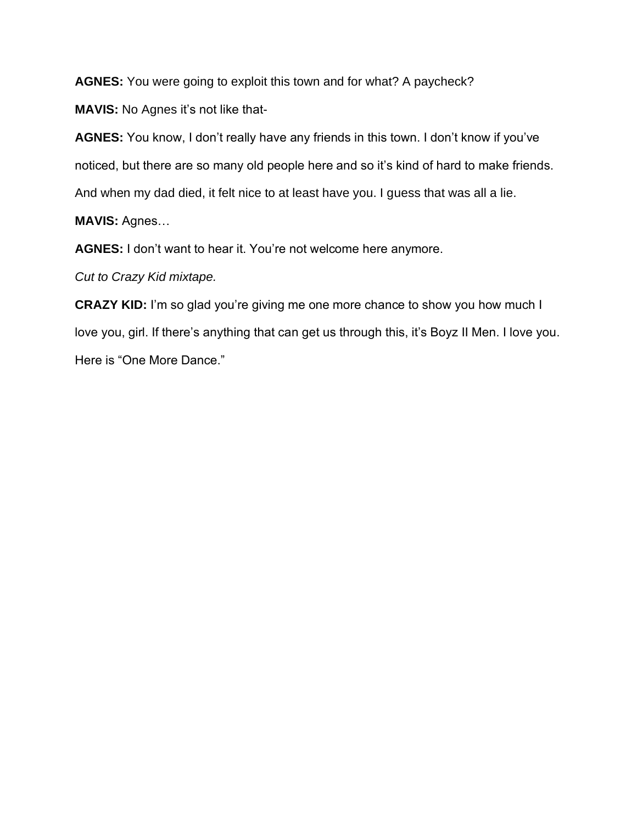**AGNES:** You were going to exploit this town and for what? A paycheck?

**MAVIS:** No Agnes it's not like that-

**AGNES:** You know, I don't really have any friends in this town. I don't know if you've noticed, but there are so many old people here and so it's kind of hard to make friends. And when my dad died, it felt nice to at least have you. I guess that was all a lie.

**MAVIS:** Agnes…

**AGNES:** I don't want to hear it. You're not welcome here anymore.

*Cut to Crazy Kid mixtape.* 

**CRAZY KID:** I'm so glad you're giving me one more chance to show you how much I love you, girl. If there's anything that can get us through this, it's Boyz II Men. I love you. Here is "One More Dance."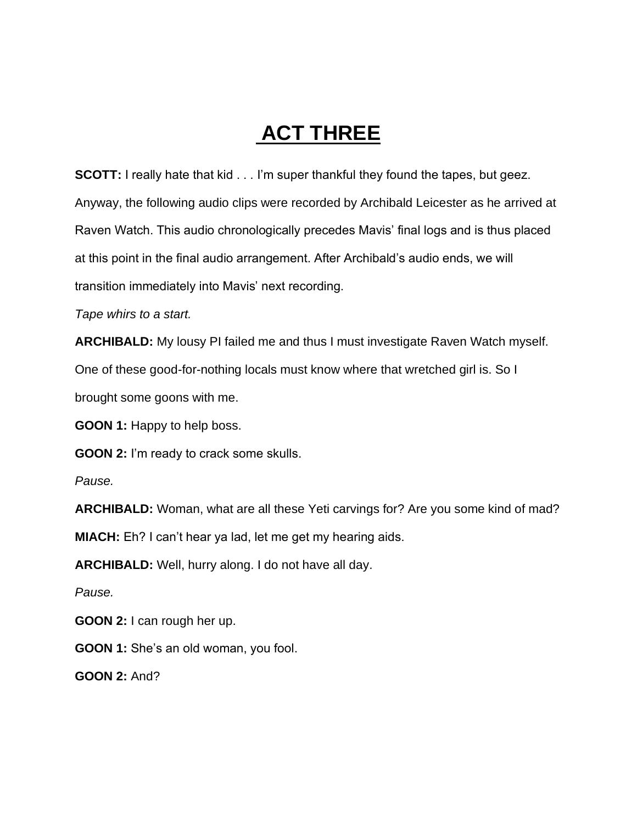# **ACT THREE**

**SCOTT:** I really hate that kid . . . I'm super thankful they found the tapes, but geez. Anyway, the following audio clips were recorded by Archibald Leicester as he arrived at Raven Watch. This audio chronologically precedes Mavis' final logs and is thus placed at this point in the final audio arrangement. After Archibald's audio ends, we will transition immediately into Mavis' next recording.

*Tape whirs to a start.*

**ARCHIBALD:** My lousy PI failed me and thus I must investigate Raven Watch myself.

One of these good-for-nothing locals must know where that wretched girl is. So I

brought some goons with me.

**GOON 1:** Happy to help boss.

**GOON 2:** I'm ready to crack some skulls.

*Pause.*

**ARCHIBALD:** Woman, what are all these Yeti carvings for? Are you some kind of mad?

**MIACH:** Eh? I can't hear ya lad, let me get my hearing aids.

**ARCHIBALD:** Well, hurry along. I do not have all day.

*Pause.*

**GOON 2:** I can rough her up.

**GOON 1:** She's an old woman, you fool.

**GOON 2:** And?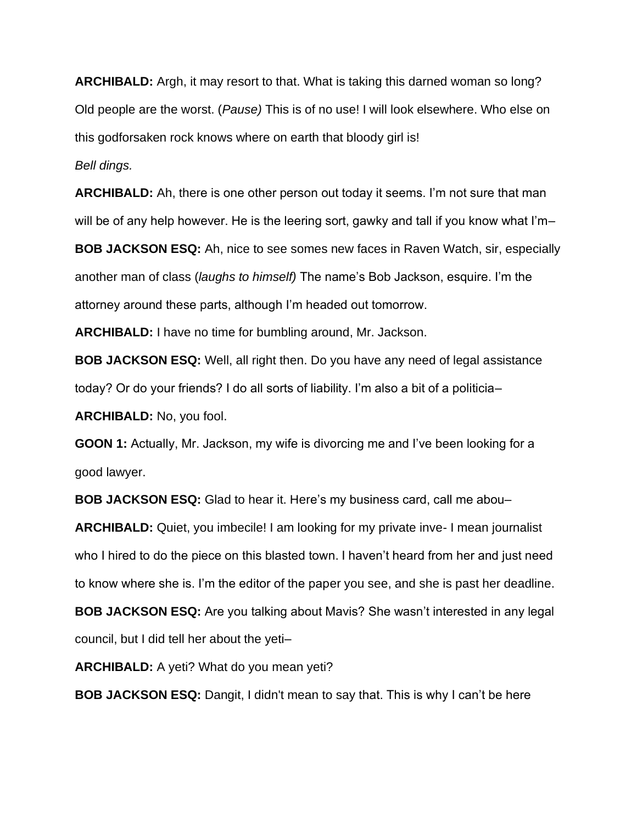**ARCHIBALD:** Argh, it may resort to that. What is taking this darned woman so long? Old people are the worst. (*Pause)* This is of no use! I will look elsewhere. Who else on this godforsaken rock knows where on earth that bloody girl is!

*Bell dings.* 

**ARCHIBALD:** Ah, there is one other person out today it seems. I'm not sure that man will be of any help however. He is the leering sort, gawky and tall if you know what I'm–

**BOB JACKSON ESQ:** Ah, nice to see somes new faces in Raven Watch, sir, especially another man of class (*laughs to himself)* The name's Bob Jackson, esquire. I'm the attorney around these parts, although I'm headed out tomorrow.

**ARCHIBALD:** I have no time for bumbling around, Mr. Jackson.

**BOB JACKSON ESQ:** Well, all right then. Do you have any need of legal assistance today? Or do your friends? I do all sorts of liability. I'm also a bit of a politicia–

**ARCHIBALD:** No, you fool.

**GOON 1:** Actually, Mr. Jackson, my wife is divorcing me and I've been looking for a good lawyer.

**BOB JACKSON ESQ:** Glad to hear it. Here's my business card, call me abou–

**ARCHIBALD:** Quiet, you imbecile! I am looking for my private inve- I mean journalist who I hired to do the piece on this blasted town. I haven't heard from her and just need to know where she is. I'm the editor of the paper you see, and she is past her deadline.

**BOB JACKSON ESQ:** Are you talking about Mavis? She wasn't interested in any legal council, but I did tell her about the yeti–

**ARCHIBALD:** A yeti? What do you mean yeti?

**BOB JACKSON ESQ:** Dangit, I didn't mean to say that. This is why I can't be here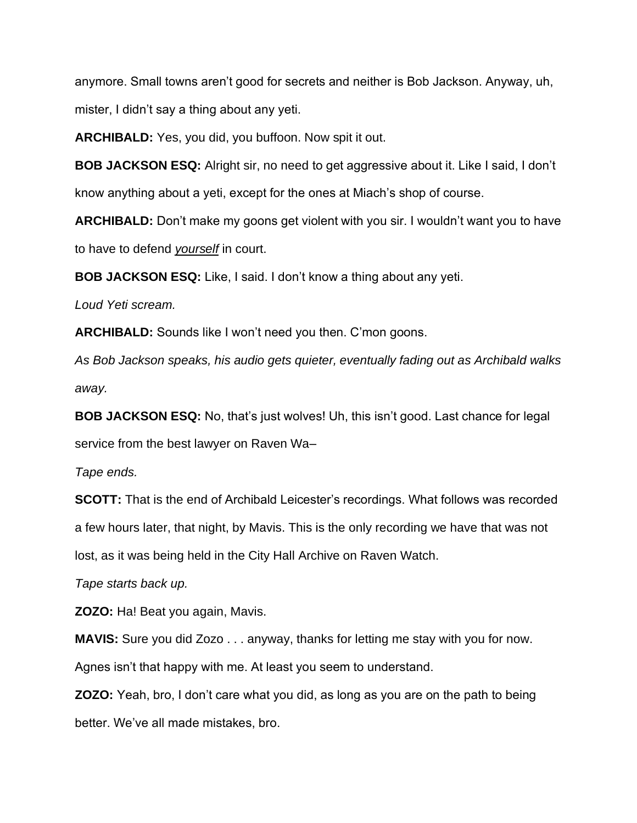anymore. Small towns aren't good for secrets and neither is Bob Jackson. Anyway, uh, mister, I didn't say a thing about any yeti.

**ARCHIBALD:** Yes, you did, you buffoon. Now spit it out.

**BOB JACKSON ESQ:** Alright sir, no need to get aggressive about it. Like I said, I don't know anything about a yeti, except for the ones at Miach's shop of course.

**ARCHIBALD:** Don't make my goons get violent with you sir. I wouldn't want you to have to have to defend *yourself* in court.

**BOB JACKSON ESQ:** Like, I said. I don't know a thing about any yeti.

*Loud Yeti scream.*

**ARCHIBALD:** Sounds like I won't need you then. C'mon goons.

*As Bob Jackson speaks, his audio gets quieter, eventually fading out as Archibald walks away.*

**BOB JACKSON ESQ:** No, that's just wolves! Uh, this isn't good. Last chance for legal service from the best lawyer on Raven Wa–

*Tape ends.*

**SCOTT:** That is the end of Archibald Leicester's recordings. What follows was recorded a few hours later, that night, by Mavis. This is the only recording we have that was not lost, as it was being held in the City Hall Archive on Raven Watch.

*Tape starts back up.*

**ZOZO:** Ha! Beat you again, Mavis.

**MAVIS:** Sure you did Zozo . . . anyway, thanks for letting me stay with you for now. Agnes isn't that happy with me. At least you seem to understand.

**ZOZO:** Yeah, bro, I don't care what you did, as long as you are on the path to being better. We've all made mistakes, bro.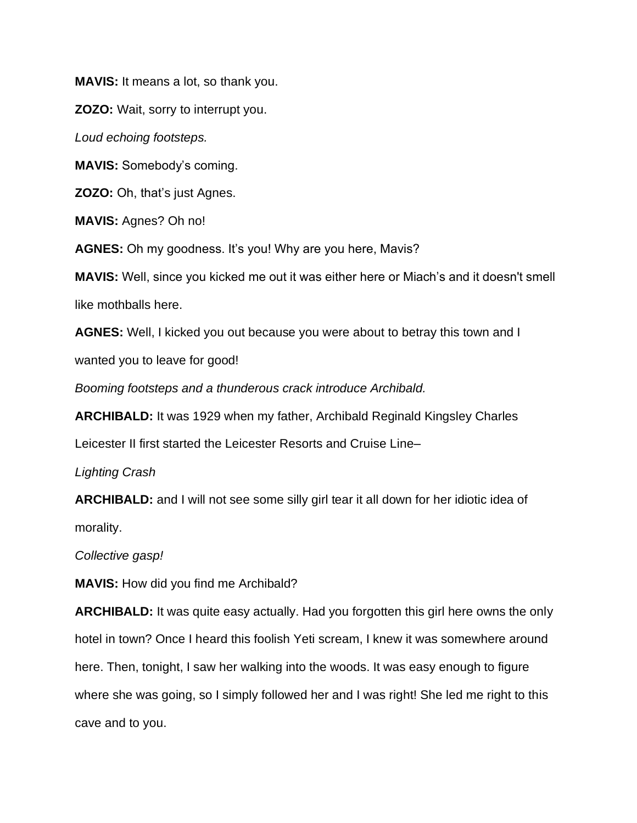**MAVIS:** It means a lot, so thank you.

**ZOZO:** Wait, sorry to interrupt you.

*Loud echoing footsteps.*

**MAVIS:** Somebody's coming.

**ZOZO:** Oh, that's just Agnes.

**MAVIS:** Agnes? Oh no!

**AGNES:** Oh my goodness. It's you! Why are you here, Mavis?

**MAVIS:** Well, since you kicked me out it was either here or Miach's and it doesn't smell like mothballs here.

**AGNES:** Well, I kicked you out because you were about to betray this town and I wanted you to leave for good!

*Booming footsteps and a thunderous crack introduce Archibald.* 

**ARCHIBALD:** It was 1929 when my father, Archibald Reginald Kingsley Charles

Leicester II first started the Leicester Resorts and Cruise Line–

*Lighting Crash*

**ARCHIBALD:** and I will not see some silly girl tear it all down for her idiotic idea of morality.

*Collective gasp!*

**MAVIS:** How did you find me Archibald?

**ARCHIBALD:** It was quite easy actually. Had you forgotten this girl here owns the only hotel in town? Once I heard this foolish Yeti scream, I knew it was somewhere around here. Then, tonight, I saw her walking into the woods. It was easy enough to figure where she was going, so I simply followed her and I was right! She led me right to this cave and to you.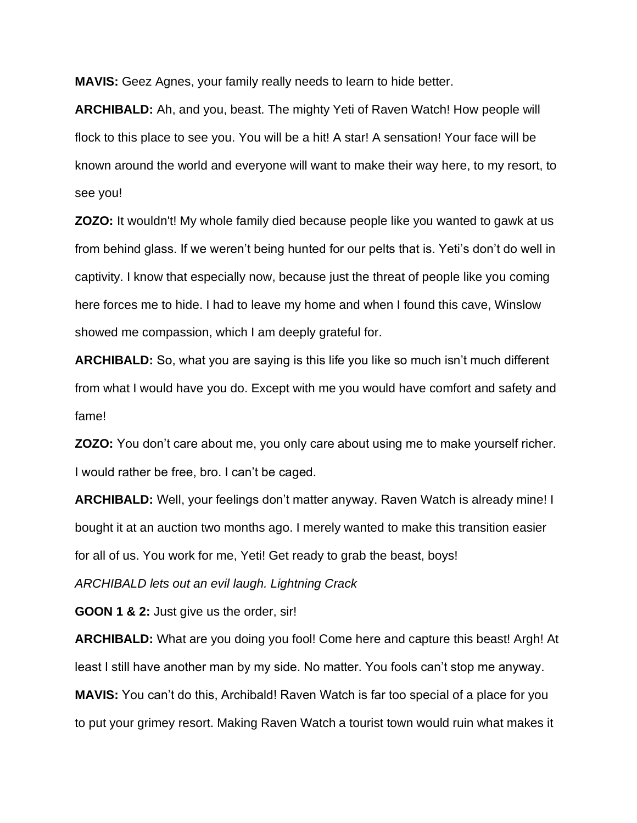**MAVIS:** Geez Agnes, your family really needs to learn to hide better.

**ARCHIBALD:** Ah, and you, beast. The mighty Yeti of Raven Watch! How people will flock to this place to see you. You will be a hit! A star! A sensation! Your face will be known around the world and everyone will want to make their way here, to my resort, to see you!

**ZOZO:** It wouldn't! My whole family died because people like you wanted to gawk at us from behind glass. If we weren't being hunted for our pelts that is. Yeti's don't do well in captivity. I know that especially now, because just the threat of people like you coming here forces me to hide. I had to leave my home and when I found this cave, Winslow showed me compassion, which I am deeply grateful for.

**ARCHIBALD:** So, what you are saying is this life you like so much isn't much different from what I would have you do. Except with me you would have comfort and safety and fame!

**ZOZO:** You don't care about me, you only care about using me to make yourself richer. I would rather be free, bro. I can't be caged.

**ARCHIBALD:** Well, your feelings don't matter anyway. Raven Watch is already mine! I bought it at an auction two months ago. I merely wanted to make this transition easier for all of us. You work for me, Yeti! Get ready to grab the beast, boys!

*ARCHIBALD lets out an evil laugh. Lightning Crack*

**GOON 1 & 2:** Just give us the order, sir!

**ARCHIBALD:** What are you doing you fool! Come here and capture this beast! Argh! At least I still have another man by my side. No matter. You fools can't stop me anyway. **MAVIS:** You can't do this, Archibald! Raven Watch is far too special of a place for you to put your grimey resort. Making Raven Watch a tourist town would ruin what makes it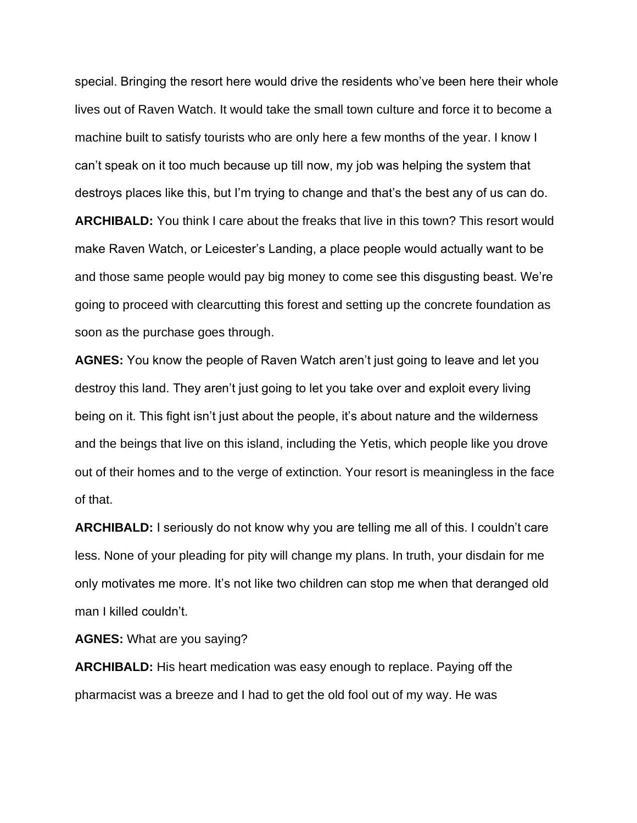special. Bringing the resort here would drive the residents who've been here their whole lives out of Raven Watch. It would take the small town culture and force it to become a machine built to satisfy tourists who are only here a few months of the year. I know I can't speak on it too much because up till now, my job was helping the system that destroys places like this, but I'm trying to change and that's the best any of us can do. **ARCHIBALD:** You think I care about the freaks that live in this town? This resort would make Raven Watch, or Leicester's Landing, a place people would actually want to be and those same people would pay big money to come see this disgusting beast. We're going to proceed with clearcutting this forest and setting up the concrete foundation as soon as the purchase goes through.

**AGNES:** You know the people of Raven Watch aren't just going to leave and let you destroy this land. They aren't just going to let you take over and exploit every living being on it. This fight isn't just about the people, it's about nature and the wilderness and the beings that live on this island, including the Yetis, which people like you drove out of their homes and to the verge of extinction. Your resort is meaningless in the face of that.

**ARCHIBALD:** I seriously do not know why you are telling me all of this. I couldn't care less. None of your pleading for pity will change my plans. In truth, your disdain for me only motivates me more. It's not like two children can stop me when that deranged old man I killed couldn't.

**AGNES:** What are you saying?

**ARCHIBALD:** His heart medication was easy enough to replace. Paying off the pharmacist was a breeze and I had to get the old fool out of my way. He was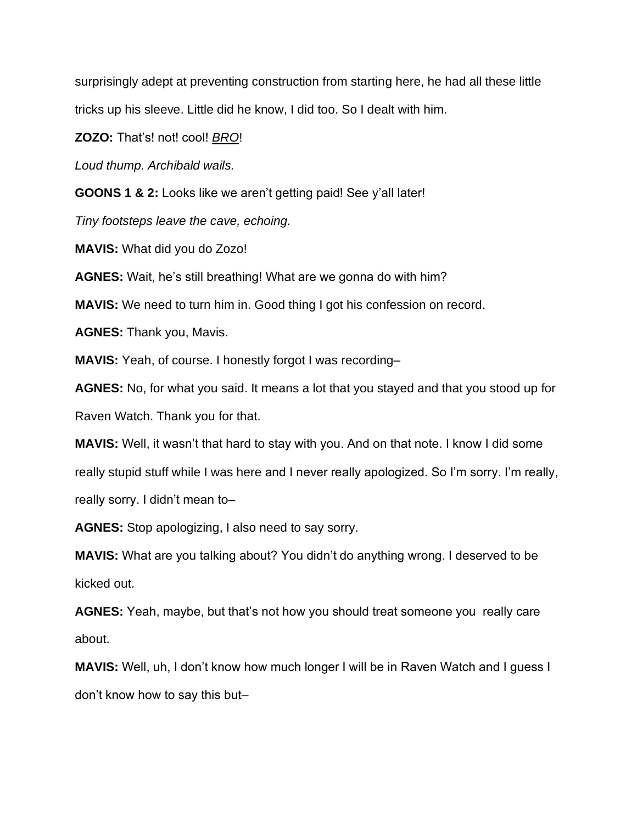surprisingly adept at preventing construction from starting here, he had all these little tricks up his sleeve. Little did he know, I did too. So I dealt with him.

**ZOZO:** That's! not! cool! *BRO*!

*Loud thump. Archibald wails.*

**GOONS 1 & 2:** Looks like we aren't getting paid! See y'all later!

*Tiny footsteps leave the cave, echoing.* 

**MAVIS:** What did you do Zozo!

**AGNES:** Wait, he's still breathing! What are we gonna do with him?

**MAVIS:** We need to turn him in. Good thing I got his confession on record.

**AGNES:** Thank you, Mavis.

**MAVIS:** Yeah, of course. I honestly forgot I was recording–

**AGNES:** No, for what you said. It means a lot that you stayed and that you stood up for Raven Watch. Thank you for that.

**MAVIS:** Well, it wasn't that hard to stay with you. And on that note. I know I did some really stupid stuff while I was here and I never really apologized. So I'm sorry. I'm really, really sorry. I didn't mean to–

**AGNES:** Stop apologizing, I also need to say sorry.

**MAVIS:** What are you talking about? You didn't do anything wrong. I deserved to be kicked out.

**AGNES:** Yeah, maybe, but that's not how you should treat someone you really care about.

**MAVIS:** Well, uh, I don't know how much longer I will be in Raven Watch and I guess I don't know how to say this but–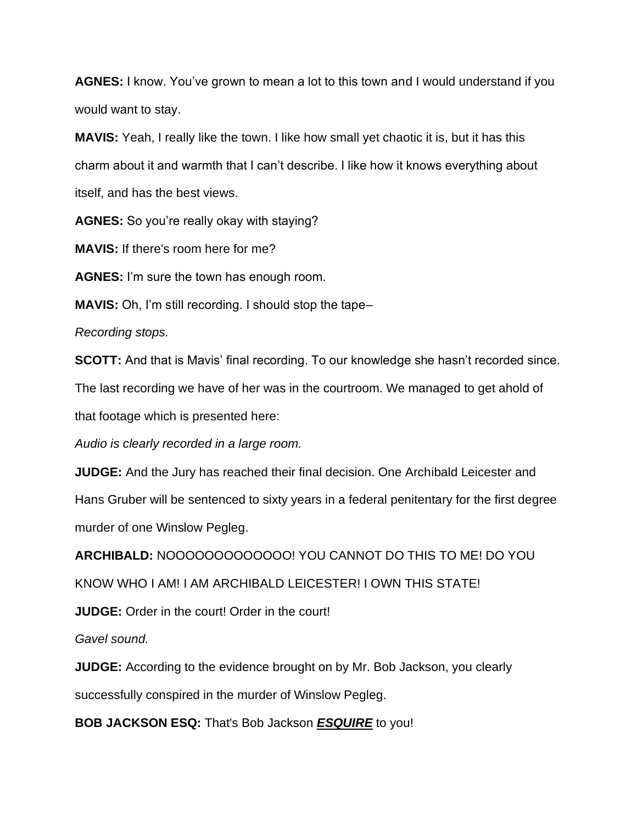**AGNES:** I know. You've grown to mean a lot to this town and I would understand if you would want to stay.

**MAVIS:** Yeah, I really like the town. I like how small yet chaotic it is, but it has this charm about it and warmth that I can't describe. I like how it knows everything about itself, and has the best views.

**AGNES:** So you're really okay with staying?

**MAVIS:** If there's room here for me?

**AGNES:** I'm sure the town has enough room.

**MAVIS:** Oh, I'm still recording. I should stop the tape–

*Recording stops.*

**SCOTT:** And that is Mavis' final recording. To our knowledge she hasn't recorded since.

The last recording we have of her was in the courtroom. We managed to get ahold of that footage which is presented here:

*Audio is clearly recorded in a large room.*

**JUDGE:** And the Jury has reached their final decision. One Archibald Leicester and

Hans Gruber will be sentenced to sixty years in a federal penitentary for the first degree murder of one Winslow Pegleg.

**ARCHIBALD:** NOOOOOOOOOOOOO! YOU CANNOT DO THIS TO ME! DO YOU

KNOW WHO I AM! I AM ARCHIBALD LEICESTER! I OWN THIS STATE!

**JUDGE:** Order in the court! Order in the court!

*Gavel sound.* 

**JUDGE:** According to the evidence brought on by Mr. Bob Jackson, you clearly successfully conspired in the murder of Winslow Pegleg.

**BOB JACKSON ESQ:** That's Bob Jackson *ESQUIRE* to you!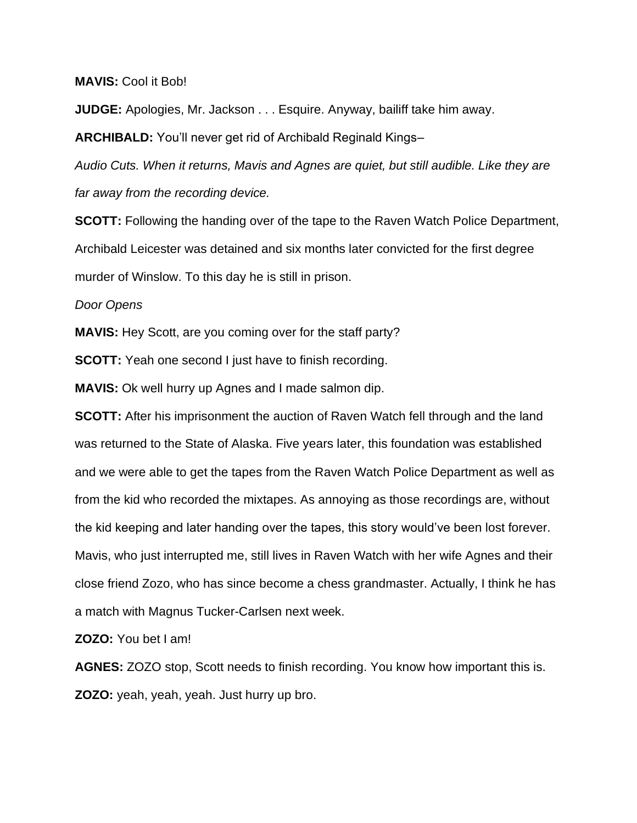**MAVIS:** Cool it Bob!

**JUDGE:** Apologies, Mr. Jackson . . . Esquire. Anyway, bailiff take him away.

**ARCHIBALD:** You'll never get rid of Archibald Reginald Kings–

*Audio Cuts. When it returns, Mavis and Agnes are quiet, but still audible. Like they are far away from the recording device.* 

**SCOTT:** Following the handing over of the tape to the Raven Watch Police Department, Archibald Leicester was detained and six months later convicted for the first degree murder of Winslow. To this day he is still in prison.

*Door Opens* 

**MAVIS:** Hey Scott, are you coming over for the staff party?

**SCOTT:** Yeah one second I just have to finish recording.

**MAVIS:** Ok well hurry up Agnes and I made salmon dip.

**SCOTT:** After his imprisonment the auction of Raven Watch fell through and the land was returned to the State of Alaska. Five years later, this foundation was established and we were able to get the tapes from the Raven Watch Police Department as well as from the kid who recorded the mixtapes. As annoying as those recordings are, without the kid keeping and later handing over the tapes, this story would've been lost forever. Mavis, who just interrupted me, still lives in Raven Watch with her wife Agnes and their close friend Zozo, who has since become a chess grandmaster. Actually, I think he has a match with Magnus Tucker-Carlsen next week.

**ZOZO:** You bet I am!

**AGNES:** ZOZO stop, Scott needs to finish recording. You know how important this is. **ZOZO:** yeah, yeah, yeah. Just hurry up bro.